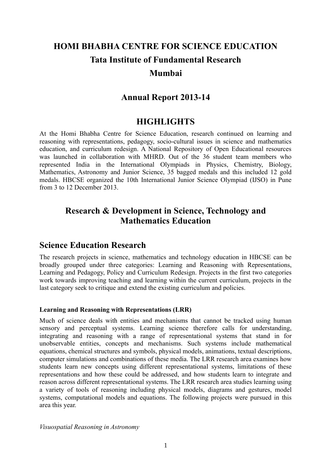# **HOMI BHABHA CENTRE FOR SCIENCE EDUCATION Tata Institute of Fundamental Research Mumbai**

# **Annual Report 2013-14**

# **HIGHLIGHTS**

At the Homi Bhabha Centre for Science Education, research continued on learning and reasoning with representations, pedagogy, socio-cultural issues in science and mathematics education, and curriculum redesign. A National Repository of Open Educational resources was launched in collaboration with MHRD. Out of the 36 student team members who represented India in the International Olympiads in Physics, Chemistry, Biology, Mathematics, Astronomy and Junior Science, 35 bagged medals and this included 12 gold medals. HBCSE organized the 10th International Junior Science Olympiad (IJSO) in Pune from 3 to 12 December 2013.

# **Research & Development in Science, Technology and Mathematics Education**

# **Science Education Research**

The research projects in science, mathematics and technology education in HBCSE can be broadly grouped under three categories: Learning and Reasoning with Representations, Learning and Pedagogy, Policy and Curriculum Redesign. Projects in the first two categories work towards improving teaching and learning within the current curriculum, projects in the last category seek to critique and extend the existing curriculum and policies.

#### **Learning and Reasoning with Representations (LRR)**

Much of science deals with entities and mechanisms that cannot be tracked using human sensory and perceptual systems. Learning science therefore calls for understanding, integrating and reasoning with a range of representational systems that stand in for unobservable entities, concepts and mechanisms. Such systems include mathematical equations, chemical structures and symbols, physical models, animations, textual descriptions, computer simulations and combinations of these media. The LRR research area examines how students learn new concepts using different representational systems, limitations of these representations and how these could be addressed, and how students learn to integrate and reason across different representational systems. The LRR research area studies learning using a variety of tools of reasoning including physical models, diagrams and gestures, model systems, computational models and equations. The following projects were pursued in this area this year.

*Visuospatial Reasoning in Astronomy*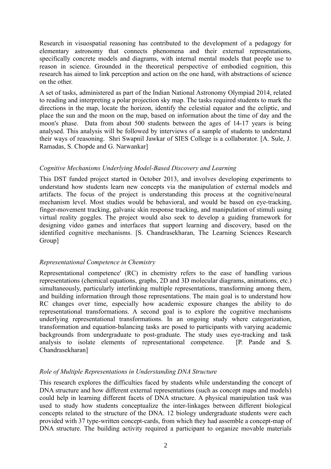Research in visuospatial reasoning has contributed to the development of a pedagogy for elementary astronomy that connects phenomena and their external representations, specifically concrete models and diagrams, with internal mental models that people use to reason in science. Grounded in the theoretical perspective of embodied cognition, this research has aimed to link perception and action on the one hand, with abstractions of science on the other.

A set of tasks, administered as part of the Indian National Astronomy Olympiad 2014, related to reading and interpreting a polar projection sky map. The tasks required students to mark the directions in the map, locate the horizon, identify the celestial equator and the ecliptic, and place the sun and the moon on the map, based on information about the time of day and the moon's phase. Data from about 500 students between the ages of 14-17 years is being analysed. This analysis will be followed by interviews of a sample of students to understand their ways of reasoning. Shri Swapnil Jawkar of SIES College is a collaborator. [A. Sule, J. Ramadas, S. Chopde and G. Narwankar]

## *Cognitive Mechanisms Underlying Model-Based Discovery and Learning*

This DST funded project started in October 2013, and involves developing experiments to understand how students learn new concepts via the manipulation of external models and artifacts. The focus of the project is understanding this process at the cognitive/neural mechanism level. Most studies would be behavioral, and would be based on eye-tracking, finger-movement tracking, galvanic skin response tracking, and manipulation of stimuli using virtual reality goggles. The project would also seek to develop a guiding framework for designing video games and interfaces that support learning and discovery, based on the identified cognitive mechanisms. [S. Chandrasekharan, The Learning Sciences Research Group]

## *Representational Competence in Chemistry*

Representational competence' (RC) in chemistry refers to the ease of handling various representations (chemical equations, graphs, 2D and 3D molecular diagrams, animations, etc.) simultaneously, particularly interlinking multiple representations, transforming among them, and building information through those representations. The main goal is to understand how RC changes over time, especially how academic exposure changes the ability to do representational transformations. A second goal is to explore the cognitive mechanisms underlying representational transformations. In an ongoing study where categorization, transformation and equation-balancing tasks are posed to participants with varying academic backgrounds from undergraduate to post-graduate. The study uses eye-tracking and task analysis to isolate elements of representational competence. [P. Pande and S. Chandrasekharan]

## *Role of Multiple Representations in Understanding DNA Structure*

This research explores the difficulties faced by students while understanding the concept of DNA structure and how different external representations (such as concept maps and models) could help in learning different facets of DNA structure. A physical manipulation task was used to study how students conceptualize the inter-linkages between different biological concepts related to the structure of the DNA. 12 biology undergraduate students were each provided with 37 type-written concept-cards, from which they had assemble a concept-map of DNA structure. The building activity required a participant to organize movable materials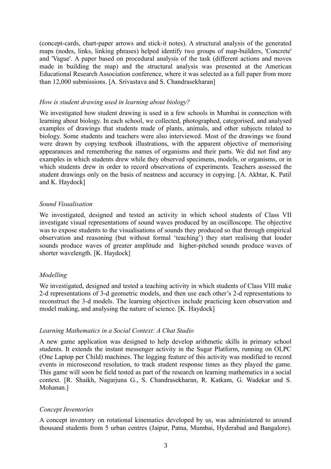(concept-cards, chart-paper arrows and stick-it notes). A structural analysis of the generated maps (nodes, links, linking phrases) helped identify two groups of map-builders, 'Concrete' and 'Vague'. A paper based on procedural analysis of the task (different actions and moves made in building the map) and the structural analysis was presented at the American Educational Research Association conference, where it was selected as a full paper from more than 12,000 submissions. [A. Srivastava and S. Chandrasekharan]

#### *How is student drawing used in learning about biology?*

We investigated how student drawing is used in a few schools in Mumbai in connection with learning about biology. In each school, we collected, photographed, categorised, and analysed examples of drawings that students made of plants, animals, and other subjects related to biology. Some students and teachers were also interviewed. Most of the drawings we found were drawn by copying textbook illustrations, with the apparent objective of memorising appearances and remembering the names of organisms and their parts. We did not find any examples in which students drew while they observed specimens, models, or organisms, or in which students drew in order to record observations of experiments. Teachers assessed the student drawings only on the basis of neatness and accuracy in copying. [A. Akhtar, K. Patil and K. Haydock]

#### *Sound Visualisation*

We investigated, designed and tested an activity in which school students of Class VII investigate visual representations of sound waves produced by an oscilloscope. The objective was to expose students to the visualisations of sounds they produced so that through empirical observation and reasoning (but without formal 'teaching') they start realising that louder sounds produce waves of greater amplitude and higher-pitched sounds produce waves of shorter wavelength. [K. Haydock]

## *Modelling*

We investigated, designed and tested a teaching activity in which students of Class VIII make 2-d representations of 3-d geometric models, and then use each other's 2-d representations to reconstruct the 3-d models. The learning objectives include practicing keen observation and model making, and analysing the nature of science. [K. Haydock]

#### *Learning Mathematics in a Social Context: A Chat Studio*

A new game application was designed to help develop arithmetic skills in primary school students. It extends the instant messenger activity in the Sugar Platform, running on OLPC (One Laptop per Child) machines. The logging feature of this activity was modified to record events in microsecond resolution, to track student response times as they played the game. This game will soon be field tested as part of the research on learning mathematics in a social context. [R. Shaikh, Nagarjuna G., S. Chandrasekharan, R. Katkam, G. Wadekar and S. Mohanan.]

## *Concept Inventories*

A concept inventory on rotational kinematics developed by us, was administered to around thousand students from 5 urban centres (Jaipur, Patna, Mumbai, Hyderabad and Bangalore).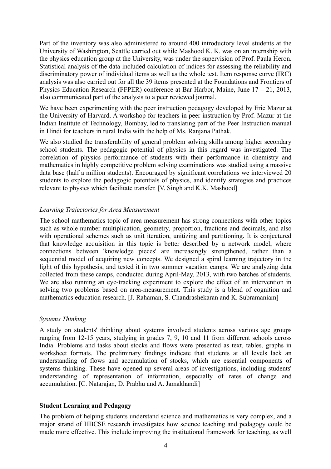Part of the inventory was also administered to around 400 introductory level students at the University of Washington, Seattle carried out while Mashood K. K. was on an internship with the physics education group at the University, was under the supervision of Prof. Paula Heron. Statistical analysis of the data included calculation of indices for assessing the reliability and discriminatory power of individual items as well as the whole test. Item response curve (IRC) analysis was also carried out for all the 39 items presented at the Foundations and Frontiers of Physics Education Research (FFPER) conference at Bar Harbor, Maine, June  $17 - 21$ , 2013, also communicated part of the analysis to a peer reviewed journal.

We have been experimenting with the peer instruction pedagogy developed by Eric Mazur at the University of Harvard. A workshop for teachers in peer instruction by Prof. Mazur at the Indian Institute of Technology, Bombay, led to translating part of the Peer Instruction manual in Hindi for teachers in rural India with the help of Ms. Ranjana Pathak.

We also studied the transferability of general problem solving skills among higher secondary school students. The pedagogic potential of physics in this regard was investigated. The correlation of physics performance of students with their performance in chemistry and mathematics in highly competitive problem solving examinations was studied using a massive data base (half a million students). Encouraged by significant correlations we interviewed 20 students to explore the pedagogic potentials of physics, and identify strategies and practices relevant to physics which facilitate transfer. [V. Singh and K.K. Mashood]

#### *Learning Trajectories for Area Measurement*

The school mathematics topic of area measurement has strong connections with other topics such as whole number multiplication, geometry, proportion, fractions and decimals, and also with operational schemes such as unit iteration, unitizing and partitioning. It is conjectured that knowledge acquisition in this topic is better described by a network model, where connections between 'knowledge pieces' are increasingly strengthened, rather than a sequential model of acquiring new concepts. We designed a spiral learning trajectory in the light of this hypothesis, and tested it in two summer vacation camps. We are analyzing data collected from these camps, conducted during April-May, 2013, with two batches of students. We are also running an eye-tracking experiment to explore the effect of an intervention in solving two problems based on area-measurement. This study is a blend of cognition and mathematics education research. [J. Rahaman, S. Chandrashekaran and K. Subramaniam]

#### *Systems Thinking*

A study on students' thinking about systems involved students across various age groups ranging from 12-15 years, studying in grades 7, 9, 10 and 11 from different schools across India. Problems and tasks about stocks and flows were presented as text, tables, graphs in worksheet formats. The preliminary findings indicate that students at all levels lack an understanding of flows and accumulation of stocks, which are essential components of systems thinking. These have opened up several areas of investigations, including students' understanding of representation of information, especially of rates of change and accumulation. [C. Natarajan, D. Prabhu and A. Jamakhandi]

#### **Student Learning and Pedagogy**

The problem of helping students understand science and mathematics is very complex, and a major strand of HBCSE research investigates how science teaching and pedagogy could be made more effective. This include improving the institutional framework for teaching, as well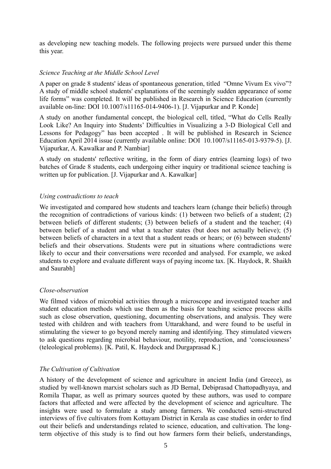as developing new teaching models. The following projects were pursued under this theme this year.

#### *Science Teaching at the Middle School Level*

A paper on grade 8 students' ideas of spontaneous generation, titled "Omne Vivum Ex vivo"? A study of middle school students' explanations of the seemingly sudden appearance of some life forms" was completed. It will be published in Research in Science Education (currently available on-line: DOI 10.1007/s11165-014-9406-1). [J. Vijapurkar and P. Konde]

A study on another fundamental concept, the biological cell, titled, "What do Cells Really Look Like? An Inquiry into Students' Difficulties in Visualizing a 3-D Biological Cell and Lessons for Pedagogy" has been accepted . It will be published in Research in Science Education April 2014 issue (currently available online: DOI 10.1007/s11165-013-9379-5). [J. Vijapurkar, A. Kawalkar and P. Nambiar]

A study on students' reflective writing, in the form of diary entries (learning logs) of two batches of Grade 8 students, each undergoing either inquiry or traditional science teaching is written up for publication. [J. Vijapurkar and A. Kawalkar]

#### *Using contradictions to teach*

We investigated and compared how students and teachers learn (change their beliefs) through the recognition of contradictions of various kinds: (1) between two beliefs of a student; (2) between beliefs of different students; (3) between beliefs of a student and the teacher; (4) between belief of a student and what a teacher states (but does not actually believe); (5) between beliefs of characters in a text that a student reads or hears; or (6) between students' beliefs and their observations. Students were put in situations where contradictions were likely to occur and their conversations were recorded and analysed. For example, we asked students to explore and evaluate different ways of paying income tax. [K. Haydock, R. Shaikh and Saurabh]

#### *Close-observation*

We filmed videos of microbial activities through a microscope and investigated teacher and student education methods which use them as the basis for teaching science process skills such as close observation, questioning, documenting observations, and analysis. They were tested with children and with teachers from Uttarakhand, and were found to be useful in stimulating the viewer to go beyond merely naming and identifying. They stimulated viewers to ask questions regarding microbial behaviour, motility, reproduction, and 'consciousness' (teleological problems). [K. Patil, K. Haydock and Durgaprasad K.]

## *The Cultivation of Cultivation*

A history of the development of science and agriculture in ancient India (and Greece), as studied by well-known marxist scholars such as JD Bernal, Debiprasad Chattopadhyaya, and Romila Thapar, as well as primary sources quoted by these authors, was used to compare factors that affected and were affected by the development of science and agriculture. The insights were used to formulate a study among farmers. We conducted semi-structured interviews of five cultivators from Kottayam District in Kerala as case studies in order to find out their beliefs and understandings related to science, education, and cultivation. The longterm objective of this study is to find out how farmers form their beliefs, understandings,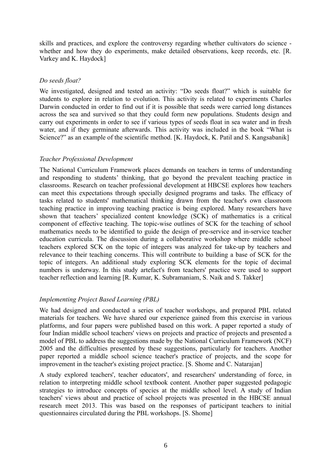skills and practices, and explore the controversy regarding whether cultivators do science whether and how they do experiments, make detailed observations, keep records, etc. [R. Varkey and K. Haydock]

#### *Do seeds float?*

We investigated, designed and tested an activity: "Do seeds float?" which is suitable for students to explore in relation to evolution. This activity is related to experiments Charles Darwin conducted in order to find out if it is possible that seeds were carried long distances across the sea and survived so that they could form new populations. Students design and carry out experiments in order to see if various types of seeds float in sea water and in fresh water, and if they germinate afterwards. This activity was included in the book "What is Science?" as an example of the scientific method. [K. Haydock, K. Patil and S. Kangsabanik]

#### *Teacher Professional Development*

The National Curriculum Framework places demands on teachers in terms of understanding and responding to students' thinking, that go beyond the prevalent teaching practice in classrooms. Research on teacher professional development at HBCSE explores how teachers can meet this expectations through specially designed programs and tasks. The efficacy of tasks related to students' mathematical thinking drawn from the teacher's own classroom teaching practice in improving teaching practice is being explored. Many researchers have shown that teachers' specialized content knowledge (SCK) of mathematics is a critical component of effective teaching. The topic-wise outlines of SCK for the teaching of school mathematics needs to be identified to guide the design of pre-service and in-service teacher education curricula. The discussion during a collaborative workshop where middle school teachers explored SCK on the topic of integers was analyzed for take-up by teachers and relevance to their teaching concerns. This will contribute to building a base of SCK for the topic of integers. An additional study exploring SCK elements for the topic of decimal numbers is underway. In this study artefact's from teachers' practice were used to support teacher reflection and learning [R. Kumar, K. Subramaniam, S. Naik and S. Takker]

# *Implementing Project Based Learning (PBL)*

We had designed and conducted a series of teacher workshops, and prepared PBL related materials for teachers. We have shared our experience gained from this exercise in various platforms, and four papers were published based on this work. A paper reported a study of four Indian middle school teachers' views on projects and practice of projects and presented a model of PBL to address the suggestions made by the National Curriculum Framework (NCF) 2005 and the difficulties presented by these suggestions, particularly for teachers. Another paper reported a middle school science teacher's practice of projects, and the scope for improvement in the teacher's existing project practice. [S. Shome and C. Natarajan]

A study explored teachers', teacher educators', and researchers' understanding of force, in relation to interpreting middle school textbook content. Another paper suggested pedagogic strategies to introduce concepts of species at the middle school level. A study of Indian teachers' views about and practice of school projects was presented in the HBCSE annual research meet 2013. This was based on the responses of participant teachers to initial questionnaires circulated during the PBL workshops. [S. Shome]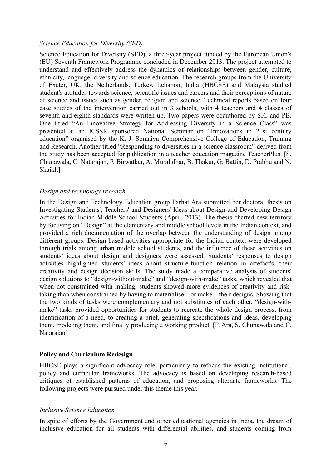#### *Science Education for Diversity (SED)*

Science Education for Diversity (SED), a three-year project funded by the European Union's (EU) Seventh Framework Programme concluded in December 2013. The project attempted to understand and effectively address the dynamics of relationships between gender, culture, ethnicity, language, diversity and science education. The research groups from the University of Exeter, UK, the Netherlands, Turkey, Lebanon, India (HBCSE) and Malaysia studied student's attitudes towards science, scientific issues and careers and their perceptions of nature of science and issues such as gender, religion and science. Technical reports based on four case studies of the intervention carried out in 3 schools, with 4 teachers and 4 classes of seventh and eighth standards were written up. Two papers were coauthored by SIC and PB. One titled "An Innovative Strategy for Addressing Diversity in a Science Class" was presented at an ICSSR sponsored National Seminar on "Innovations in 21st century education" organised by the K. J. Somaiya Comprehensive College of Education, Training and Research. Another titled "Responding to diversities in a science classroom" derived from the study has been accepted for publication in a teacher education magazine TeacherPlus. [S. Chunawala, C. Natarajan, P. Birwatkar, A. Muralidhar, B. Thakur, G. Battin, D. Prabhu and N. Shaikh]

#### *Design and technology research*

In the Design and Technology Education group Farhat Ara submitted her doctoral thesis on Investigating Students', Teachers' and Designers' Ideas about Design and Developing Design Activities for Indian Middle School Students (April, 2013). The thesis charted new territory by focusing on "Design" at the elementary and middle school levels in the Indian context, and provided a rich documentation of the overlap between the understanding of design among different groups. Design-based activities appropriate for the Indian context were developed through trials among urban middle school students, and the influence of these activities on students' ideas about design and designers were assessed. Students' responses to design activities highlighted students' ideas about structure-function relation in artefact's, their creativity and design decision skills. The study made a comparative analysis of students' design solutions to "design-without-make" and "design-with-make" tasks, which revealed that when not constrained with making, students showed more evidences of creativity and risktaking than when constrained by having to materialise – or make – their designs. Showing that the two kinds of tasks were complementary and not substitutes of each other, "design-withmake" tasks provided opportunities for students to recreate the whole design process, from identification of a need, to creating a brief, generating specifications and ideas, developing them, modeling them, and finally producing a working product. [F. Ara, S. Chunawala and C. Natarajan]

#### **Policy and Curriculum Redesign**

HBCSE plays a significant advocacy role, particularly to refocus the existing institutional, policy and curricular frameworks. The advocacy is based on developing research-based critiques of established patterns of education, and proposing alternate frameworks. The following projects were pursued under this theme this year.

#### *Inclusive Science Education*

In spite of efforts by the Government and other educational agencies in India, the dream of inclusive education for all students with differential abilities, and students coming from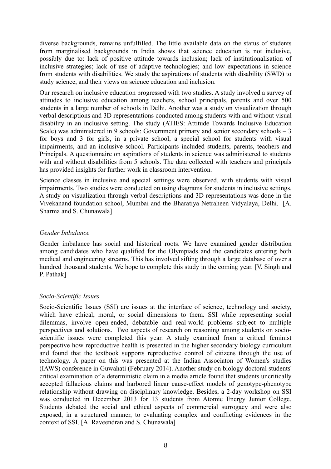diverse backgrounds, remains unfulfilled. The little available data on the status of students from marginalised backgrounds in India shows that science education is not inclusive, possibly due to: lack of positive attitude towards inclusion; lack of institutionalisation of inclusive strategies; lack of use of adaptive technologies; and low expectations in science from students with disabilities. We study the aspirations of students with disability (SWD) to study science, and their views on science education and inclusion.

Our research on inclusive education progressed with two studies. A study involved a survey of attitudes to inclusive education among teachers, school principals, parents and over 500 students in a large number of schools in Delhi. Another was a study on visualization through verbal descriptions and 3D representations conducted among students with and without visual disability in an inclusive setting. The study (ATIES: Attitude Towards Inclusive Education Scale) was administered in 9 schools: Government primary and senior secondary schools – 3 for boys and 3 for girls, in a private school, a special school for students with visual impairments, and an inclusive school. Participants included students, parents, teachers and Principals. A questionnaire on aspirations of students in science was administered to students with and without disabilities from 5 schools. The data collected with teachers and principals has provided insights for further work in classroom intervention.

Science classes in inclusive and special settings were observed, with students with visual impairments. Two studies were conducted on using diagrams for students in inclusive settings. A study on visualization through verbal descriptions and 3D representations was done in the Vivekanand foundation school, Mumbai and the Bharatiya Netraheen Vidyalaya, Delhi. [A. Sharma and S. Chunawala]

#### *Gender Imbalance*

Gender imbalance has social and historical roots. We have examined gender distribution among candidates who have qualified for the Olympiads and the candidates entering both medical and engineering streams. This has involved sifting through a large database of over a hundred thousand students. We hope to complete this study in the coming year. [V. Singh and P. Pathak]

## *Socio-Scientific Issues*

Socio-Scientific Issues (SSI) are issues at the interface of science, technology and society, which have ethical, moral, or social dimensions to them. SSI while representing social dilemmas, involve open-ended, debatable and real-world problems subject to multiple perspectives and solutions. Two aspects of research on reasoning among students on socioscientific issues were completed this year. A study examined from a critical feminist perspective how reproductive health is presented in the higher secondary biology curriculum and found that the textbook supports reproductive control of citizens through the use of technology. A paper on this was presented at the Indian Associaton of Women's studies (IAWS) conference in Guwahati (February 2014). Another study on biology doctoral students' critical examination of a deterministic claim in a media article found that students uncritically accepted fallacious claims and harbored linear cause-effect models of genotype-phenotype relationship without drawing on disciplinary knowledge. Besides, a 2-day workshop on SSI was conducted in December 2013 for 13 students from Atomic Energy Junior College. Students debated the social and ethical aspects of commercial surrogacy and were also exposed, in a structured manner, to evaluating complex and conflicting evidences in the context of SSI. [A. Raveendran and S. Chunawala]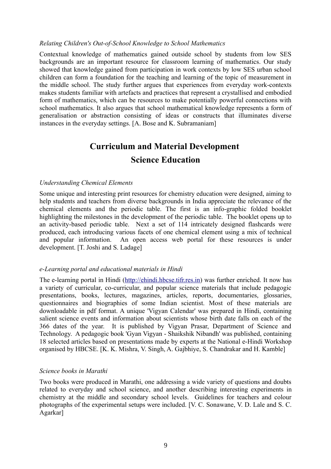#### *Relating Children's Out-of-School Knowledge to School Mathematics*

Contextual knowledge of mathematics gained outside school by students from low SES backgrounds are an important resource for classroom learning of mathematics. Our study showed that knowledge gained from participation in work contexts by low SES urban school children can form a foundation for the teaching and learning of the topic of measurement in the middle school. The study further argues that experiences from everyday work-contexts makes students familiar with artefacts and practices that represent a crystallised and embodied form of mathematics, which can be resources to make potentially powerful connections with school mathematics. It also argues that school mathematical knowledge represents a form of generalisation or abstraction consisting of ideas or constructs that illuminates diverse instances in the everyday settings. [A. Bose and K. Subramaniam]

# **Curriculum and Material Development Science Education**

#### *Understanding Chemical Elements*

Some unique and interesting print resources for chemistry education were designed, aiming to help students and teachers from diverse backgrounds in India appreciate the relevance of the chemical elements and the periodic table. The first is an info-graphic folded booklet highlighting the milestones in the development of the periodic table. The booklet opens up to an activity-based periodic table. Next a set of 114 intricately designed flashcards were produced, each introducing various facets of one chemical element using a mix of technical and popular information. An open access web portal for these resources is under development. [T. Joshi and S. Ladage]

#### *e-Learning portal and educational materials in Hindi*

The e-learning portal in Hindi [\(http://ehindi.hbcse.tifr.res.in\)](http://ehindi.hbcse.tifr.res.in/) was further enriched. It now has a variety of curricular, co-curricular, and popular science materials that include pedagogic presentations, books, lectures, magazines, articles, reports, documentaries, glossaries, questionnaires and biographies of some Indian scientist. Most of these materials are downloadable in pdf format. A unique 'Vigyan Calendar' was prepared in Hindi, containing salient science events and information about scientists whose birth date falls on each of the 366 dates of the year. It is published by Vigyan Prasar, Department of Science and Technology. A pedagogic book 'Gyan Vigyan - Shaikshik Nibandh' was published, containing 18 selected articles based on presentations made by experts at the National e-Hindi Workshop organised by HBCSE. [K. K. Mishra, V. Singh, A. Gajbhiye, S. Chandrakar and H. Kamble]

#### *Science books in Marathi*

Two books were produced in Marathi, one addressing a wide variety of questions and doubts related to everyday and school science, and another describing interesting experiments in chemistry at the middle and secondary school levels. Guidelines for teachers and colour photographs of the experimental setups were included. [V. C. Sonawane, V. D. Lale and S. C. Agarkar]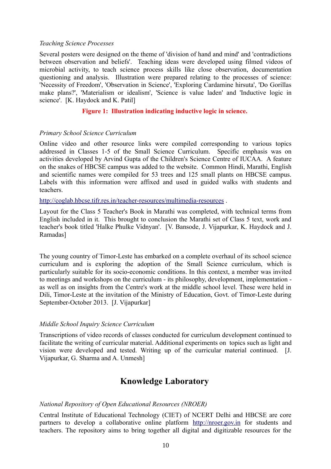#### *Teaching Science Processes*

Several posters were designed on the theme of 'division of hand and mind' and 'contradictions between observation and beliefs'. Teaching ideas were developed using filmed videos of microbial activity, to teach science process skills like close observation, documentation questioning and analysis. Illustration were prepared relating to the processes of science: 'Necessity of Freedom', 'Observation in Science', 'Exploring Cardamine hirsuta', 'Do Gorillas make plans?', 'Materialism or idealism', 'Science is value laden' and 'Inductive logic in science'. [K. Haydock and K. Patil]

#### **Figure 1: Illustration indicating inductive logic in science.**

#### *Primary School Science Curriculum*

Online video and other resource links were compiled corresponding to various topics addressed in Classes 1-5 of the Small Science Curriculum. Specific emphasis was on activities developed by Arvind Gupta of the Children's Science Centre of IUCAA. A feature on the snakes of HBCSE campus was added to the website. Common Hindi, Marathi, English and scientific names were compiled for 53 trees and 125 small plants on HBCSE campus. Labels with this information were affixed and used in guided walks with students and teachers.

<http://coglab.hbcse.tifr.res.in/teacher-resources/multimedia-resources>.

Layout for the Class 5 Teacher's Book in Marathi was completed, with technical terms from English included in it. This brought to conclusion the Marathi set of Class 5 text, work and teacher's book titled 'Halke Phulke Vidnyan'. [V. Bansode, J. Vijapurkar, K. Haydock and J. Ramadas]

The young country of Timor-Leste has embarked on a complete overhaul of its school science curriculum and is exploring the adoption of the Small Science curriculum, which is particularly suitable for its socio-economic conditions. In this context, a member was invited to meetings and workshops on the curriculum - its philosophy, development, implementation as well as on insights from the Centre's work at the middle school level. These were held in Dili, Timor-Leste at the invitation of the Ministry of Education, Govt. of Timor-Leste during September-October 2013. [J. Vijapurkar]

#### *Middle School Inquiry Science Curriculum*

Transcriptions of video records of classes conducted for curriculum development continued to facilitate the writing of curricular material. Additional experiments on topics such as light and vision were developed and tested. Writing up of the curricular material continued. [J. Vijapurkar, G. Sharma and A. Unmesh]

# **Knowledge Laboratory**

#### *National Repository of Open Educational Resources (NROER)*

Central Institute of Educational Technology (CIET) of NCERT Delhi and HBCSE are core partners to develop a collaborative online platform [http://nroer.gov.in](http://nroer.gov.in/) for students and teachers. The repository aims to bring together all digital and digitizable resources for the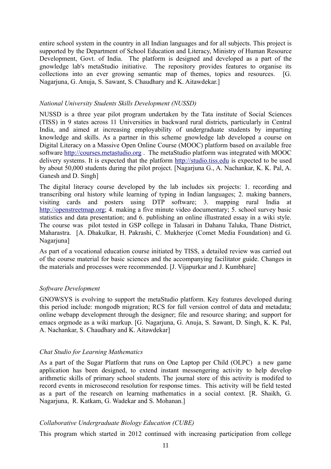entire school system in the country in all Indian languages and for all subjects. This project is supported by the Department of School Education and Literacy, Ministry of Human Resource Development, Govt. of India. The platform is designed and developed as a part of the gnowledge lab's metaStudio initiative. The repository provides features to organise its collections into an ever growing semantic map of themes, topics and resources. [G. Nagarjuna, G. Anuja, S. Sawant, S. Chaudhary and K. Aitawdekar.]

#### *National University Students Skills Development (NUSSD)*

NUSSD is a three year pilot program undertaken by the Tata institute of Social Sciences (TISS) in 9 states across 11 Universities in backward rural districts, particularly in Central India, and aimed at increasing employability of undergraduate students by imparting knowledge and skills. As a partner in this scheme gnowledge lab developed a course on Digital Literacy on a Massive Open Online Course (MOOC) platform based on available free software [http://courses.metastudio.org](http://courses.metastudio.org/) . The metaStudio platform was integrated with MOOC delivery systems. It is expected that the platform [http://studio.tiss.edu](http://studio.tiss.edu/) is expected to be used by about 50,000 students during the pilot project. [Nagarjuna G., A. Nachankar, K. K. Pal, A. Ganesh and D. Singh]

The digital literacy course developed by the lab includes six projects: 1. recording and transcribing oral history while learning of typing in Indian languages; 2. making banners, visiting cards and posters using DTP software; 3. mapping rural India at [http://openstreetmap.org;](http://openstreetmap.org/) 4. making a five minute video documentary; 5. school survey basic statistics and data presentation; and 6. publishing an online illustrated essay in a wiki style. The course was pilot tested in GSP college in Talasari in Dahanu Taluka, Thane District, Maharastra. [A. Dhakulkar, H. Pakrashi, C. Mukherjee (Comet Media Foundation) and G. Nagarjuna]

As part of a vocational education course initiated by TISS, a detailed review was carried out of the course material for basic sciences and the accompanying facilitator guide. Changes in the materials and processes were recommended. [J. Vijapurkar and J. Kumbhare]

#### *Software Development*

GNOWSYS is evolving to support the metaStudio platform. Key features developed during this period include: mongodb migration; RCS for full version control of data and metadata; online webapp development through the designer; file and resource sharing; and support for emacs orgmode as a wiki markup. [G. Nagarjuna, G. Anuja, S. Sawant, D. Singh, K. K. Pal, A. Nachankar, S. Chaudhary and K. Aitawdekar]

## *Chat Studio for Learning Mathematics*

As a part of the Sugar Platform that runs on One Laptop per Child (OLPC) a new game application has been designed, to extend instant messengering activity to help develop arithmetic skills of primary school students. The journal store of this activity is modifed to record events in microsecond resolution for response times. This activity will be field tested as a part of the research on learning mathematics in a social context. [R. Shaikh, G. Nagarjuna, R. Katkam, G. Wadekar and S. Mohanan.]

## *Collaborative Undergraduate Biology Education (CUBE)*

This program which started in 2012 continued with increasing participation from college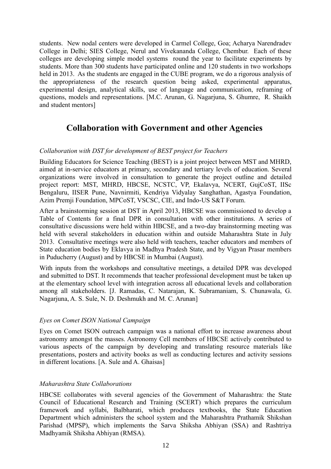students. New nodal centers were developed in Carmel College, Goa; Acharya Narendradev College in Delhi; SIES College, Nerul and Vivekananda College, Chembur. Each of these colleges are developing simple model systems round the year to facilitate experiments by students. More than 300 students have participated online and 120 students in two workshops held in 2013. As the students are engaged in the CUBE program, we do a rigorous analysis of the appropriateness of the research question being asked, experimental apparatus, experimental design, analytical skills, use of language and communication, reframing of questions, models and representations. [M.C. Arunan, G. Nagarjuna, S. Ghumre, R. Shaikh and student mentors]

# **Collaboration with Government and other Agencies**

## *Collaboration with DST for development of BEST project for Teachers*

Building Educators for Science Teaching (BEST) is a joint project between MST and MHRD, aimed at in-service educators at primary, secondary and tertiary levels of education. Several organizations were involved in consultation to generate the project outline and detailed project report: MST, MHRD, HBCSE, NCSTC, VP, Ekalavya, NCERT, GujCoST, IISc Bengaluru, IISER Pune, Navnirmiti, Kendriya Vidyalay Sanghathan, Agastya Foundation, Azim Premji Foundation, MPCoST, VSCSC, CIE, and Indo-US S&T Forum.

After a brainstorming session at DST in April 2013, HBCSE was commissioned to develop a Table of Contents for a final DPR in consultation with other institutions. A series of consultative discussions were held within HBCSE, and a two-day brainstorming meeting was held with several stakeholders in education within and outside Maharashtra State in July 2013. Consultative meetings were also held with teachers, teacher educators and members of State education bodies by Eklavya in Madhya Pradesh State, and by Vigyan Prasar members in Puducherry (August) and by HBCSE in Mumbai (August).

With inputs from the workshops and consultative meetings, a detailed DPR was developed and submitted to DST. It recommends that teacher professional development must be taken up at the elementary school level with integration across all educational levels and collaboration among all stakeholders. [J. Ramadas, C. Natarajan, K. Subramaniam, S. Chunawala, G. Nagarjuna, A. S. Sule, N. D. Deshmukh and M. C. Arunan]

## *Eyes on Comet ISON National Campaign*

Eyes on Comet ISON outreach campaign was a national effort to increase awareness about astronomy amongst the masses. Astronomy Cell members of HBCSE actively contributed to various aspects of the campaign by developing and translating resource materials like presentations, posters and activity books as well as conducting lectures and activity sessions in different locations. [A. Sule and A. Ghaisas]

## *Maharashtra State Collaborations*

HBCSE collaborates with several agencies of the Government of Maharashtra: the State Council of Educational Research and Training (SCERT) which prepares the curriculum framework and syllabi, Balbharati, which produces textbooks, the State Education Department which administers the school system and the Maharashtra Prathamik Shikshan Parishad (MPSP), which implements the Sarva Shiksha Abhiyan (SSA) and Rashtriya Madhyamik Shiksha Abhiyan (RMSA).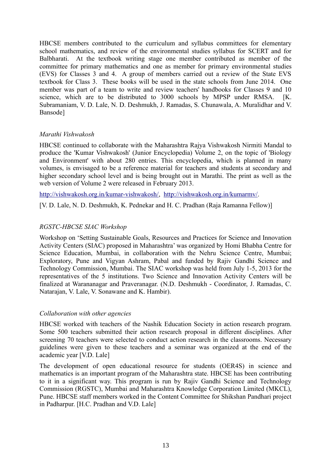HBCSE members contributed to the curriculum and syllabus committees for elementary school mathematics, and review of the environmental studies syllabus for SCERT and for Balbharati. At the textbook writing stage one member contributed as member of the committee for primary mathematics and one as member for primary environmental studies (EVS) for Classes 3 and 4. A group of members carried out a review of the State EVS textbook for Class 3. These books will be used in the state schools from June 2014. One member was part of a team to write and review teachers' handbooks for Classes 9 and 10 science, which are to be distributed to 3000 schools by MPSP under RMSA. [K. Subramaniam, V. D. Lale, N. D. Deshmukh, J. Ramadas, S. Chunawala, A. Muralidhar and V. Bansode]

## *Marathi Vishwakosh*

HBCSE continued to collaborate with the Maharashtra Rajya Vishwakosh Nirmiti Mandal to produce the 'Kumar Vishwakosh' (Junior Encyclopedia) Volume 2, on the topic of 'Biology and Environment' with about 280 entries. This encyclopedia, which is planned in many volumes, is envisaged to be a reference material for teachers and students at secondary and higher secondary school level and is being brought out in Marathi. The print as well as the web version of Volume 2 were released in February 2013.

[http://vishwakosh.org.in/kumar-vishwakosh/,](http://vishwakosh.org.in/kumar-vishwakosh/) [http:// vishwakosh.org.in/kumarmv/.](http://vishwakosh.org.in/kumarmv/)

[V. D. Lale, N. D. Deshmukh, K. Pednekar and H. C. Pradhan (Raja Ramanna Fellow)]

## *RGSTC-HBCSE SIAC Workshop*

Workshop on 'Setting Sustainable Goals, Resources and Practices for Science and Innovation Activity Centers (SIAC) proposed in Maharashtra' was organized by Homi Bhabha Centre for Science Education, Mumbai, in collaboration with the Nehru Science Centre, Mumbai; Exploratory, Pune and Vigyan Ashram, Pabal and funded by Rajiv Gandhi Science and Technology Commission, Mumbai. The SIAC workshop was held from July 1-5, 2013 for the representatives of the 5 institutions. Two Science and Innovation Activity Centers will be finalized at Warananagar and Praveranagar. (N.D. Deshmukh - Coordinator, J. Ramadas, C. Natarajan, V. Lale, V. Sonawane and K. Hambir).

#### *Collaboration with other agencies*

HBCSE worked with teachers of the Nashik Education Society in action research program. Some 500 teachers submitted their action research proposal in different disciplines. After screening 70 teachers were selected to conduct action research in the classrooms. Necessary guidelines were given to these teachers and a seminar was organized at the end of the academic year [V.D. Lale]

The development of open educational resource for students (OER4S) in science and mathematics is an important program of the Maharashtra state. HBCSE has been contributing to it in a significant way. This program is run by Rajiv Gandhi Science and Technology Commission (RGSTC), Mumbai and Maharashtra Knowledge Corporation Limited (MKCL), Pune. HBCSE staff members worked in the Content Committee for Shikshan Pandhari project in Padharpur. [H.C. Pradhan and V.D. Lale]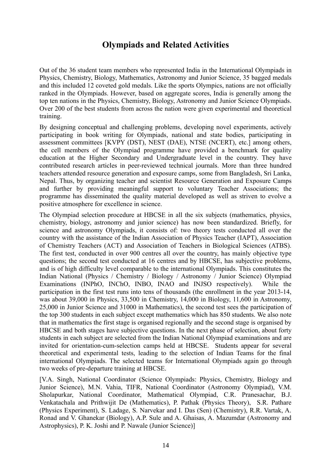# **Olympiads and Related Activities**

Out of the 36 student team members who represented India in the International Olympiads in Physics, Chemistry, Biology, Mathematics, Astronomy and Junior Science, 35 bagged medals and this included 12 coveted gold medals. Like the sports Olympics, nations are not officially ranked in the Olympiads. However, based on aggregate scores, India is generally among the top ten nations in the Physics, Chemistry, Biology, Astronomy and Junior Science Olympiads. Over 200 of the best students from across the nation were given experimental and theoretical training.

By designing conceptual and challenging problems, developing novel experiments, actively participating in book writing for Olympiads, national and state bodies, participating in assessment committees [KVPY (DST), NEST (DAE), NTSE (NCERT), etc.] among others, the cell members of the Olympiad programme have provided a benchmark for quality education at the Higher Secondary and Undergraduate level in the country. They have contributed research articles in peer-reviewed technical journals. More than three hundred teachers attended resource generation and exposure camps, some from Bangladesh, Sri Lanka, Nepal. Thus, by organizing teacher and scientist Resource Generation and Exposure Camps and further by providing meaningful support to voluntary Teacher Associations; the programme has disseminated the quality material developed as well as striven to evolve a positive atmosphere for excellence in science.

The Olympiad selection procedure at HBCSE in all the six subjects (mathematics, physics, chemistry, biology, astronomy and junior science) has now been standardized. Briefly, for science and astronomy Olympiads, it consists of: two theory tests conducted all over the country with the assistance of the Indian Association of Physics Teacher (IAPT), Association of Chemistry Teachers (ACT) and Association of Teachers in Biological Sciences (ATBS). The first test, conducted in over 900 centres all over the country, has mainly objective type questions; the second test conducted at 16 centres and by HBCSE, has subjective problems, and is of high difficulty level comparable to the international Olympiads. This constitutes the Indian National (Physics / Chemistry / Biology / Astronomy / Junior Science) Olympiad Examinations (INPhO, INChO, INBO, INAO and INJSO respectively). While the participation in the first test runs into tens of thousands (the enrollment in the year 2013-14, was about 39,000 in Physics, 33,500 in Chemistry, 14,000 in Biology, 11,600 in Astronomy, 25,000 in Junior Science and 31000 in Mathematics), the second test sees the participation of the top 300 students in each subject except mathematics which has 850 students. We also note that in mathematics the first stage is organised regionally and the second stage is organised by HBCSE and both stages have subjective questions. In the next phase of selection, about forty students in each subject are selected from the Indian National Olympiad examinations and are invited for orientation-cum-selection camps held at HBCSE. Students appear for several theoretical and experimental tests, leading to the selection of Indian Teams for the final international Olympiads. The selected teams for International Olympiads again go through two weeks of pre-departure training at HBCSE.

[V.A. Singh, National Coordinator (Science Olympiads: Physics, Chemistry, Biology and Junior Science), M.N. Vahia, TIFR, National Coordinator (Astronomy Olympiad), V.M. Sholapurkar, National Coordinator, Mathematical Olympiad, C.R. Pranesachar, B.J. Venkatachala and Prithwijit De (Mathematics), P. Pathak (Physics Theory), S.R. Pathare (Physics Experiment), S. Ladage, S. Narvekar and I. Das (Sen) (Chemistry), R.R. Vartak, A. Ronad and V. Ghanekar (Biology), A.P. Sule and A. Ghaisas, A. Mazumdar (Astronomy and Astrophysics), P. K. Joshi and P. Nawale (Junior Science)]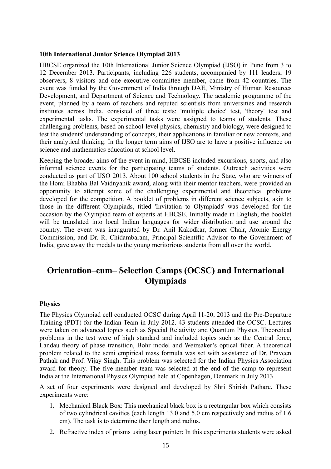#### **10th International Junior Science Olympiad 2013**

HBCSE organized the 10th International Junior Science Olympiad (IJSO) in Pune from 3 to 12 December 2013. Participants, including 226 students, accompanied by 111 leaders, 19 observers, 8 visitors and one executive committee member, came from 42 countries. The event was funded by the Government of India through DAE, Ministry of Human Resources Development, and Department of Science and Technology. The academic programme of the event, planned by a team of teachers and reputed scientists from universities and research institutes across India, consisted of three tests: 'multiple choice' test, 'theory' test and experimental tasks. The experimental tasks were assigned to teams of students. These challenging problems, based on school-level physics, chemistry and biology, were designed to test the students' understanding of concepts, their applications in familiar or new contexts, and their analytical thinking. In the longer term aims of IJSO are to have a positive influence on science and mathematics education at school level.

Keeping the broader aims of the event in mind, HBCSE included excursions, sports, and also informal science events for the participating teams of students. Outreach activities were conducted as part of IJSO 2013. About 100 school students in the State, who are winners of the Homi Bhabha Bal Vaidnyanik award, along with their mentor teachers, were provided an opportunity to attempt some of the challenging experimental and theoretical problems developed for the competition. A booklet of problems in different science subjects, akin to those in the different Olympiads, titled 'Invitation to Olympiads' was developed for the occasion by the Olympiad team of experts at HBCSE. Initially made in English, the booklet will be translated into local Indian languages for wider distribution and use around the country. The event was inaugurated by Dr. Anil Kakodkar, former Chair, Atomic Energy Commission, and Dr. R. Chidambaram, Principal Scientific Advisor to the Government of India, gave away the medals to the young meritorious students from all over the world.

# **Orientation–cum– Selection Camps (OCSC) and International Olympiads**

#### **Physics**

The Physics Olympiad cell conducted OCSC during April 11-20, 2013 and the Pre-Departure Training (PDT) for the Indian Team in July 2012. 43 students attended the OCSC. Lectures were taken on advanced topics such as Special Relativity and Quantum Physics. Theoretical problems in the test were of high standard and included topics such as the Central force, Landau theory of phase transition, Bohr model and Weizsaker's optical fiber. A theoretical problem related to the semi empirical mass formula was set with assistance of Dr. Praveen Pathak and Prof. Vijay Singh. This problem was selected for the Indian Physics Association award for theory. The five-member team was selected at the end of the camp to represent India at the International Physics Olympiad held at Copenhagen, Denmark in July 2013.

A set of four experiments were designed and developed by Shri Shirish Pathare. These experiments were:

- 1. Mechanical Black Box: This mechanical black box is a rectangular box which consists of two cylindrical cavities (each length 13.0 and 5.0 cm respectively and radius of 1.6 cm). The task is to determine their length and radius.
- 2. Refractive index of prisms using laser pointer: In this experiments students were asked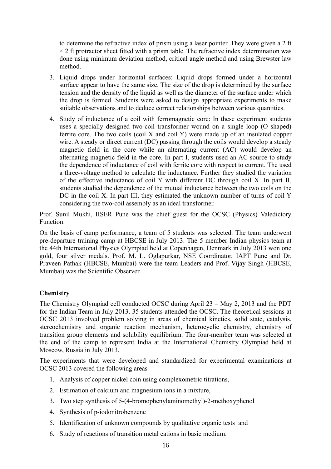to determine the refractive index of prism using a laser pointer. They were given a 2 ft  $\times$  2 ft protractor sheet fitted with a prism table. The refractive index determination was done using minimum deviation method, critical angle method and using Brewster law method.

- 3. Liquid drops under horizontal surfaces: Liquid drops formed under a horizontal surface appear to have the same size. The size of the drop is determined by the surface tension and the density of the liquid as well as the diameter of the surface under which the drop is formed. Students were asked to design appropriate experiments to make suitable observations and to deduce correct relationships between various quantities.
- 4. Study of inductance of a coil with ferromagnetic core: In these experiment students uses a specially designed two-coil transformer wound on a single loop (O shaped) ferrite core. The two coils (coil X and coil Y) were made up of an insulated copper wire. A steady or direct current (DC) passing through the coils would develop a steady magnetic field in the core while an alternating current (AC) would develop an alternating magnetic field in the core. In part I, students used an AC source to study the dependence of inductance of coil with ferrite core with respect to current. The used a three-voltage method to calculate the inductance. Further they studied the variation of the effective inductance of coil Y with different DC through coil X. In part II, students studied the dependence of the mutual inductance between the two coils on the DC in the coil X. In part III, they estimated the unknown number of turns of coil Y considering the two-coil assembly as an ideal transformer.

Prof. Sunil Mukhi, IISER Pune was the chief guest for the OCSC (Physics) Valedictory Function.

On the basis of camp performance, a team of 5 students was selected. The team underwent pre-departure training camp at HBCSE in July 2013. The 5 member Indian physics team at the 44th International Physics Olympiad held at Copenhagen, Denmark in July 2013 won one gold, four silver medals. Prof. M. L. Oglapurkar, NSE Coordinator, IAPT Pune and Dr. Praveen Pathak (HBCSE, Mumbai) were the team Leaders and Prof. Vijay Singh (HBCSE, Mumbai) was the Scientific Observer.

## **Chemistry**

The Chemistry Olympiad cell conducted OCSC during April 23 – May 2, 2013 and the PDT for the Indian Team in July 2013. 35 students attended the OCSC. The theoretical sessions at OCSC 2013 involved problem solving in areas of chemical kinetics, solid state, catalysis, stereochemistry and organic reaction mechanism, heterocyclic chemistry, chemistry of transition group elements and solubility equilibrium. The four-member team was selected at the end of the camp to represent India at the International Chemistry Olympiad held at Moscow, Russia in July 2013.

The experiments that were developed and standardized for experimental examinations at OCSC 2013 covered the following areas-

- 1. Analysis of copper nickel coin using complexometric titrations,
- 2. Estimation of calcium and magnesium ions in a mixture,
- 3. Two step synthesis of 5-(4-bromophenylaminomethyl)-2-methoxyphenol
- 4. Synthesis of p-iodonitrobenzene
- 5. Identification of unknown compounds by qualitative organic tests and
- 6. Study of reactions of transition metal cations in basic medium.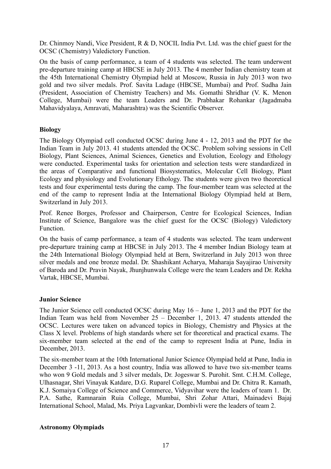Dr. Chinmoy Nandi, Vice President, R & D, NOCIL India Pvt. Ltd. was the chief guest for the OCSC (Chemistry) Valedictory Function.

On the basis of camp performance, a team of 4 students was selected. The team underwent pre-departure training camp at HBCSE in July 2013. The 4 member Indian chemistry team at the 45th International Chemistry Olympiad held at Moscow, Russia in July 2013 won two gold and two silver medals. Prof. Savita Ladage (HBCSE, Mumbai) and Prof. Sudha Jain (President, Association of Chemistry Teachers) and Ms. Gomathi Shridhar (V. K. Menon College, Mumbai) were the team Leaders and Dr. Prabhakar Rohankar (Jagadmaba Mahavidyalaya, Amravati, Maharashtra) was the Scientific Observer.

## **Biology**

The Biology Olympiad cell conducted OCSC during June 4 - 12, 2013 and the PDT for the Indian Team in July 2013. 41 students attended the OCSC. Problem solving sessions in Cell Biology, Plant Sciences, Animal Sciences, Genetics and Evolution, Ecology and Ethology were conducted. Experimental tasks for orientation and selection tests were standardized in the areas of Comparative and functional Biosystematics, Molecular Cell Biology, Plant Ecology and physiology and Evolutionary Ethology. The students were given two theoretical tests and four experimental tests during the camp. The four-member team was selected at the end of the camp to represent India at the International Biology Olympiad held at Bern, Switzerland in July 2013.

Prof. Renee Borges, Professor and Chairperson, Centre for Ecological Sciences, Indian Institute of Science, Bangalore was the chief guest for the OCSC (Biology) Valedictory Function.

On the basis of camp performance, a team of 4 students was selected. The team underwent pre-departure training camp at HBCSE in July 2013. The 4 member Indian Biology team at the 24th International Biology Olympiad held at Bern, Switzerland in July 2013 won three silver medals and one bronze medal. Dr. Shashikant Acharya, Maharaja Sayajirao University of Baroda and Dr. Pravin Nayak, Jhunjhunwala College were the team Leaders and Dr. Rekha Vartak, HBCSE, Mumbai.

## **Junior Science**

The Junior Science cell conducted OCSC during May 16 – June 1, 2013 and the PDT for the Indian Team was held from November 25 – December 1, 2013. 47 students attended the OCSC. Lectures were taken on advanced topics in Biology, Chemistry and Physics at the Class X level. Problems of high standards where set for theoretical and practical exams. The six-member team selected at the end of the camp to represent India at Pune, India in December, 2013.

The six-member team at the 10th International Junior Science Olympiad held at Pune, India in December 3 -11, 2013. As a host country, India was allowed to have two six-member teams who won 9 Gold medals and 3 silver medals, Dr. Jogeswar S. Purohit. Smt. C.H.M. College, Ulhasnagar, Shri Vinayak Katdare, D.G. Ruparel College, Mumbai and Dr. Chitra R. Kamath, K.J. Somaiya College of Science and Commerce, Vidyavihar were the leaders of team 1. Dr. P.A. Sathe, Ramnarain Ruia College, Mumbai, Shri Zohar Attari, Mainadevi Bajaj International School, Malad, Ms. Priya Lagvankar, Dombivli were the leaders of team 2.

## **Astronomy Olympiads**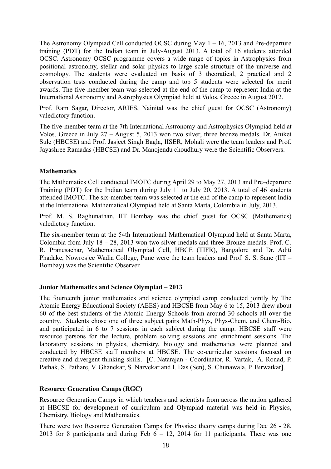The Astronomy Olympiad Cell conducted OCSC during May  $1 - 16$ , 2013 and Pre-departure training (PDT) for the Indian team in July-August 2013. A total of 16 students attended OCSC. Astronomy OCSC programme covers a wide range of topics in Astrophysics from positional astronomy, stellar and solar physics to large scale structure of the universe and cosmology. The students were evaluated on basis of 3 theoratical, 2 practical and 2 observation tests conducted during the camp and top 5 students were selected for merit awards. The five-member team was selected at the end of the camp to represent India at the International Astronomy and Astrophysics Olympiad held at Volos, Greece in August 2012.

Prof. Ram Sagar, Director, ARIES, Nainital was the chief guest for OCSC (Astronomy) valedictory function.

The five-member team at the 7th International Astronomy and Astrophysics Olympiad held at Volos, Greece in July 27 – August 5, 2013 won two silver, three bronze medals. Dr. Aniket Sule (HBCSE) and Prof. Jasjeet Singh Bagla, IISER, Mohali were the team leaders and Prof. Jayashree Ramadas (HBCSE) and Dr. Manojendu choudhury were the Scientific Observers.

#### **Mathematics**

The Mathematics Cell conducted IMOTC during April 29 to May 27, 2013 and Pre–departure Training (PDT) for the Indian team during July 11 to July 20, 2013. A total of 46 students attended IMOTC. The six-member team was selected at the end of the camp to represent India at the International Mathematical Olympiad held at Santa Marta, Colombia in July, 2013.

Prof. M. S. Raghunathan, IIT Bombay was the chief guest for OCSC (Mathematics) valedictory function.

The six-member team at the 54th International Mathematical Olympiad held at Santa Marta, Colombia from July 18 – 28, 2013 won two silver medals and three Bronze medals. Prof. C. R. Pranesachar, Mathematical Olympiad Cell, HBCE (TIFR), Bangalore and Dr. Aditi Phadake, Nowrosjee Wadia College, Pune were the team leaders and Prof. S. S. Sane (IIT – Bombay) was the Scientific Observer.

## **Junior Mathematics and Science Olympiad – 2013**

The fourteenth junior mathematics and science olympiad camp conducted jointly by The Atomic Energy Educational Society (AEES) and HBCSE from May 6 to 15, 2013 drew about 60 of the best students of the Atomic Energy Schools from around 30 schools all over the country. Students chose one of three subject pairs Math-Phys, Phys-Chem, and Chem-Bio, and participated in 6 to 7 sessions in each subject during the camp. HBCSE staff were resource persons for the lecture, problem solving sessions and enrichment sessions. The laboratory sessions in physics, chemistry, biology and mathematics were planned and conducted by HBCSE staff members at HBCSE. The co-curricular sessions focused on creative and divergent thinking skills. [C. Natarajan - Coordinator, R. Vartak, A. Ronad, P. Pathak, S. Pathare, V. Ghanekar, S. Narvekar and I. Das (Sen), S. Chunawala, P. Birwatkar].

## **Resource Generation Camps (RGC)**

Resource Generation Camps in which teachers and scientists from across the nation gathered at HBCSE for development of curriculum and Olympiad material was held in Physics, Chemistry, Biology and Mathematics.

There were two Resource Generation Camps for Physics; theory camps during Dec 26 - 28, 2013 for 8 participants and during Feb  $6 - 12$ , 2014 for 11 participants. There was one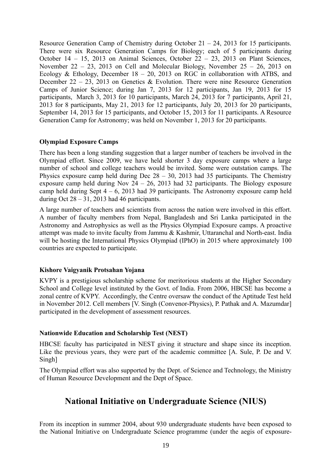Resource Generation Camp of Chemistry during October 21 – 24, 2013 for 15 participants. There were six Resource Generation Camps for Biology; each of 5 participants during October 14 – 15, 2013 on Animal Sciences, October 22 – 23, 2013 on Plant Sciences, November 22 – 23, 2013 on Cell and Molecular Biology, November 25 – 26, 2013 on Ecology & Ethology, December  $18 - 20$ , 2013 on RGC in collaboration with ATBS, and December 22 – 23, 2013 on Genetics & Evolution. There were nine Resource Generation Camps of Junior Science; during Jan 7, 2013 for 12 participants, Jan 19, 2013 for 15 participants, March 3, 2013 for 10 participants, March 24, 2013 for 7 participants, April 21, 2013 for 8 participants, May 21, 2013 for 12 participants, July 20, 2013 for 20 participants, September 14, 2013 for 15 participants, and October 15, 2013 for 11 participants. A Resource Generation Camp for Astronomy; was held on November 1, 2013 for 20 participants.

#### **Olympiad Exposure Camps**

There has been a long standing suggestion that a larger number of teachers be involved in the Olympiad effort. Since 2009, we have held shorter 3 day exposure camps where a large number of school and college teachers would be invited. Some were outstation camps. The Physics exposure camp held during Dec  $28 - 30$ , 2013 had 35 participants. The Chemistry exposure camp held during Nov  $24 - 26$ , 2013 had 32 participants. The Biology exposure camp held during Sept  $4 - 6$ , 2013 had 39 participants. The Astronomy exposure camp held during Oct  $28 - 31$ , 2013 had 46 participants.

A large number of teachers and scientists from across the nation were involved in this effort. A number of faculty members from Nepal, Bangladesh and Sri Lanka participated in the Astronomy and Astrophysics as well as the Physics Olympiad Exposure camps. A proactive attempt was made to invite faculty from Jammu & Kashmir, Uttaranchal and North-east. India will be hosting the International Physics Olympiad (IPhO) in 2015 where approximately 100 countries are expected to participate.

## **Kishore Vaigyanik Protsahan Yojana**

KVPY is a prestigious scholarship scheme for meritorious students at the Higher Secondary School and College level instituted by the Govt. of India. From 2006, HBCSE has become a zonal centre of KVPY. Accordingly, the Centre oversaw the conduct of the Aptitude Test held in November 2012. Cell members [V. Singh (Convenor-Physics), P. Pathak and A. Mazumdar] participated in the development of assessment resources.

## **Nationwide Education and Scholarship Test (NEST)**

HBCSE faculty has participated in NEST giving it structure and shape since its inception. Like the previous years, they were part of the academic committee [A. Sule, P. De and V. Singh]

The Olympiad effort was also supported by the Dept. of Science and Technology, the Ministry of Human Resource Development and the Dept of Space.

# **National Initiative on Undergraduate Science (NIUS)**

From its inception in summer 2004, about 930 undergraduate students have been exposed to the National Initiative on Undergraduate Science programme (under the aegis of exposure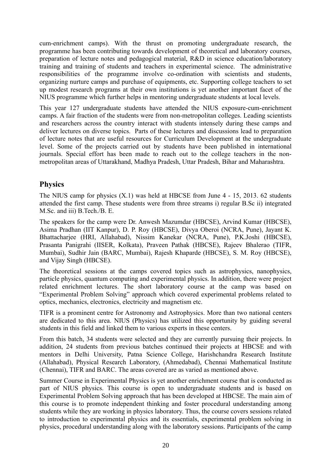cum-enrichment camps). With the thrust on promoting undergraduate research, the programme has been contributing towards development of theoretical and laboratory courses, preparation of lecture notes and pedagogical material, R&D in science education/laboratory training and training of students and teachers in experimental science. The administrative responsibilities of the programme involve co-ordination with scientists and students, organizing nurture camps and purchase of equipments, etc. Supporting college teachers to set up modest research programs at their own institutions is yet another important facet of the NIUS programme which further helps in mentoring undergraduate students at local levels.

This year 127 undergraduate students have attended the NIUS exposure-cum-enrichment camps. A fair fraction of the students were from non-metropolitan colleges. Leading scientists and researchers across the country interact with students intensely during these camps and deliver lectures on diverse topics. Parts of these lectures and discussions lead to preparation of lecture notes that are useful resources for Curriculum Development at the undergraduate level. Some of the projects carried out by students have been published in international journals. Special effort has been made to reach out to the college teachers in the nonmetropolitan areas of Uttarakhand, Madhya Pradesh, Uttar Pradesh, Bihar and Maharashtra.

# **Physics**

The NIUS camp for physics (X.1) was held at HBCSE from June 4 - 15, 2013. 62 students attended the first camp. These students were from three streams i) regular B.Sc ii) integrated M.Sc. and iii) B.Tech./B. E.

The speakers for the camp were Dr. Anwesh Mazumdar (HBCSE), Arvind Kumar (HBCSE), Asima Pradhan (IIT Kanpur), D. P. Roy (HBCSE), Divya Oberoi (NCRA, Pune), Jayant K. Bhattacharjee (HRI, Allahabad), Nissim Kanekar (NCRA, Pune), P.K.Joshi (HBCSE), Prasanta Panigrahi (IISER, Kolkata), Praveen Pathak (HBCSE), Rajeev Bhalerao (TIFR, Mumbai), Sudhir Jain (BARC, Mumbai), Rajesh Khaparde (HBCSE), S. M. Roy (HBCSE), and Vijay Singh (HBCSE).

The theoretical sessions at the camps covered topics such as astrophysics, nanophysics, particle physics, quantum computing and experimental physics. In addition, there were project related enrichment lectures. The short laboratory course at the camp was based on "Experimental Problem Solving" approach which covered experimental problems related to optics, mechanics, electronics, electricity and magnetism etc.

TIFR is a prominent centre for Astronomy and Astrophysics. More than two national centers are dedicated to this area. NIUS (Physics) has utilized this opportunity by guiding several students in this field and linked them to various experts in these centers.

From this batch, 34 students were selected and they are currently pursuing their projects. In addition, 24 students from previous batches continued their projects at HBCSE and with mentors in Delhi University, Patna Science College, Harishchandra Research Institute (Allahabad), Physical Research Laboratory, (Ahmedabad), Chennai Mathematical Institute (Chennai), TIFR and BARC. The areas covered are as varied as mentioned above.

Summer Course in Experimental Physics is yet another enrichment course that is conducted as part of NIUS physics. This course is open to undergraduate students and is based on Experimental Problem Solving approach that has been developed at HBCSE. The main aim of this course is to promote independent thinking and foster procedural understanding among students while they are working in physics laboratory. Thus, the course covers sessions related to introduction to experimental physics and its essentials, experimental problem solving in physics, procedural understanding along with the laboratory sessions. Participants of the camp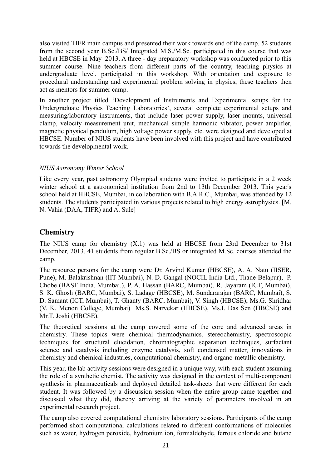also visited TIFR main campus and presented their work towards end of the camp. 52 students from the second year B.Sc./BS/ Integrated M.S./M.Sc. participated in this course that was held at HBCSE in May 2013. A three - day preparatory workshop was conducted prior to this summer course. Nine teachers from different parts of the country, teaching physics at undergraduate level, participated in this workshop. With orientation and exposure to procedural understanding and experimental problem solving in physics, these teachers then act as mentors for summer camp.

In another project titled 'Development of Instruments and Experimental setups for the Undergraduate Physics Teaching Laboratories', several complete experimental setups and measuring/laboratory instruments, that include laser power supply, laser mounts, universal clamp, velocity measurement unit, mechanical simple harmonic vibrator, power amplifier, magnetic physical pendulum, high voltage power supply, etc. were designed and developed at HBCSE. Number of NIUS students have been involved with this project and have contributed towards the developmental work.

## *NIUS Astronomy Winter School*

Like every year, past astronomy Olympiad students were invited to participate in a 2 week winter school at a astronomical institution from 2nd to 13th December 2013. This year's school held at HBCSE, Mumbai, in collaboration with B.A.R.C., Mumbai, was attended by 12 students. The students participated in various projects related to high energy astrophysics. [M. N. Vahia (DAA, TIFR) and A. Sule]

# **Chemistry**

The NIUS camp for chemistry (X.1) was held at HBCSE from 23rd December to 31st December, 2013. 41 students from regular B.Sc./BS or integrated M.Sc. courses attended the camp.

The resource persons for the camp were Dr. Arvind Kumar (HBCSE), A. A. Natu (IISER, Pune), M. Balakrishnan (IIT Mumbai), N. D. Gangal (NOCIL India Ltd., Thane-Belapur), P. Chobe (BASF India, Mumbai.), P. A. Hassan (BARC, Mumbai), R. Jayaram (ICT, Mumbai), S. K. Ghosh (BARC, Mumbai), S. Ladage (HBCSE), M. Sundararajan (BARC, Mumbai), S. D. Samant (ICT, Mumbai), T. Ghanty (BARC, Mumbai), V. Singh (HBCSE); Ms.G. Shridhar (V. K. Menon College, Mumbai) Ms.S. Narvekar (HBCSE), Ms.I. Das Sen (HBCSE) and Mr.T. Joshi (HBCSE).

The theoretical sessions at the camp covered some of the core and advanced areas in chemistry. These topics were chemical thermodynamics, stereochemistry, spectroscopic techniques for structural elucidation, chromatographic separation techniques, surfactant science and catalysis including enzyme catalysis, soft condensed matter, innovations in chemistry and chemical industries, computational chemistry, and organo-metallic chemistry.

This year, the lab activity sessions were designed in a unique way, with each student assuming the role of a synthetic chemist. The activity was designed in the context of multi-component synthesis in pharmaceuticals and deployed detailed task-sheets that were different for each student. It was followed by a discussion session when the entire group came together and discussed what they did, thereby arriving at the variety of parameters involved in an experimental research project.

The camp also covered computational chemistry laboratory sessions. Participants of the camp performed short computational calculations related to different conformations of molecules such as water, hydrogen peroxide, hydronium ion, formaldehyde, ferrous chloride and butane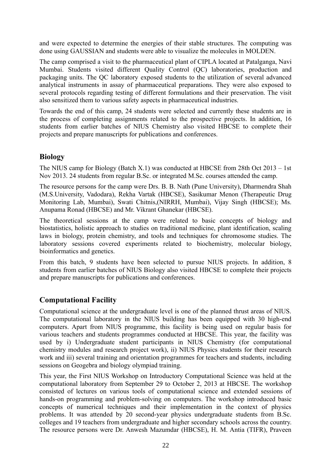and were expected to determine the energies of their stable structures. The computing was done using GAUSSIAN and students were able to visualize the molecules in MOLDEN.

The camp comprised a visit to the pharmaceutical plant of CIPLA located at Patalganga, Navi Mumbai. Students visited different Quality Control (QC) laboratories, production and packaging units. The QC laboratory exposed students to the utilization of several advanced analytical instruments in assay of pharmaceutical preparations. They were also exposed to several protocols regarding testing of different formulations and their preservation. The visit also sensitized them to various safety aspects in pharmaceutical industries.

Towards the end of this camp, 24 students were selected and currently these students are in the process of completing assignments related to the prospective projects. In addition, 16 students from earlier batches of NIUS Chemistry also visited HBCSE to complete their projects and prepare manuscripts for publications and conferences.

# **Biology**

The NIUS camp for Biology (Batch X.1) was conducted at HBCSE from 28th Oct 2013 – 1st Nov 2013. 24 students from regular B.Sc. or integrated M.Sc. courses attended the camp.

The resource persons for the camp were Drs. B. B. Nath (Pune University), Dharmendra Shah (M.S.University, Vadodara), Rekha Vartak (HBCSE), Sasikumar Menon (Therapeutic Drug Monitoring Lab, Mumbai), Swati Chitnis,(NIRRH, Mumbai), Vijay Singh (HBCSE); Ms. Anupama Ronad (HBCSE) and Mr. Vikrant Ghanekar (HBCSE).

The theoretical sessions at the camp were related to basic concepts of biology and biostatistics, holistic approach to studies on traditional medicine, plant identification, scaling laws in biology, protein chemistry, and tools and techniques for chromosome studies. The laboratory sessions covered experiments related to biochemistry, molecular biology, bioinformatics and genetics.

From this batch, 9 students have been selected to pursue NIUS projects. In addition, 8 students from earlier batches of NIUS Biology also visited HBCSE to complete their projects and prepare manuscripts for publications and conferences.

# **Computational Facility**

Computational science at the undergraduate level is one of the planned thrust areas of NIUS. The computational laboratory in the NIUS building has been equipped with 30 high-end computers. Apart from NIUS programme, this facility is being used on regular basis for various teachers and students programmes conducted at HBCSE. This year, the facility was used by i) Undergraduate student participants in NIUS Chemistry (for computational chemistry modules and research project work), ii) NIUS Physics students for their research work and iii) several training and orientation programmes for teachers and students, including sessions on Geogebra and biology olympiad training.

This year, the First NIUS Workshop on Introductory Computational Science was held at the computational laboratory from September 29 to October 2, 2013 at HBCSE. The workshop consisted of lectures on various tools of computational science and extended sessions of hands-on programming and problem-solving on computers. The workshop introduced basic concepts of numerical techniques and their implementation in the context of physics problems. It was attended by 20 second-year physics undergraduate students from B.Sc. colleges and 19 teachers from undergraduate and higher secondary schools across the country. The resource persons were Dr. Anwesh Mazumdar (HBCSE), H. M. Antia (TIFR), Praveen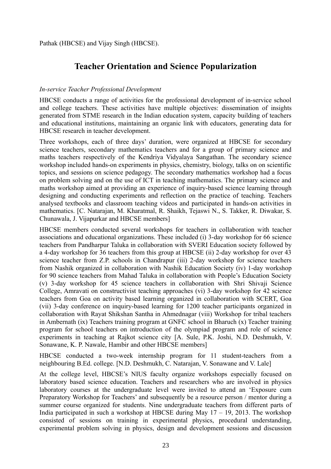# **Teacher Orientation and Science Popularization**

# *In-service Teacher Professional Development*

HBCSE conducts a range of activities for the professional development of in-service school and college teachers. These activities have multiple objectives: dissemination of insights generated from STME research in the Indian education system, capacity building of teachers and educational institutions, maintaining an organic link with educators, generating data for HBCSE research in teacher development.

Three workshops, each of three days' duration, were organized at HBCSE for secondary science teachers, secondary mathematics teachers and for a group of primary science and maths teachers respectively of the Kendriya Vidyalaya Sangathan. The secondary science workshop included hands-on experiments in physics, chemistry, biology, talks on on scientific topics, and sessions on science pedagogy. The secondary mathematics workshop had a focus on problem solving and on the use of ICT in teaching mathematics. The primary science and maths workshop aimed at providing an experience of inquiry-based science learning through designing and conducting experiments and reflection on the practice of teaching. Teachers analysed textbooks and classroom teaching videos and participated in hands-on activities in mathematics. [C. Natarajan, M. Kharatmal, R. Shaikh, Tejaswi N., S. Takker, R. Diwakar, S. Chunawala, J. Vijapurkar and HBCSE members]

HBCSE members conducted several workshops for teachers in collaboration with teacher associations and educational organizations. These included (i) 3-day workshop for 66 science teachers from Pandharpur Taluka in collaboration with SVERI Education society followed by a 4-day workshop for 36 teachers from this group at HBCSE (ii) 2-day workshop for over 43 science teacher from Z.P. schools in Chandrapur (iii) 2-day workshop for science teachers from Nashik organized in collaboration with Nashik Education Society (iv) 1-day workshop for 90 science teachers from Mahad Taluka in collaboration with People's Education Society (v) 3-day workshop for 45 science teachers in collaboration with Shri Shivaji Science College, Amravati on constructivist teaching approaches (vi) 3-day workshop for 42 science teachers from Goa on activity based learning organized in collaboration with SCERT, Goa (vii) 3-day conference on inquiry-based learning for 1200 teacher participants organized in collaboration with Rayat Shikshan Santha in Ahmednagar (viii) Workshop for tribal teachers in Ambernath (ix) Teachers training program at GNFC school in Bharuch (x) Teacher training program for school teachers on introduction of the olympiad program and role of science experiments in teaching at Rajkot science city [A. Sule, P.K. Joshi, N.D. Deshmukh, V. Sonawane, K. P. Nawale, Hambir and other HBCSE members]

HBCSE conducted a two-week internship program for 11 student-teachers from a neighbouring B.Ed. college. [N.D. Deshmukh, C. Natarajan, V. Sonawane and V. Lale]

At the college level, HBCSE's NIUS faculty organize workshops especially focused on laboratory based science education. Teachers and researchers who are involved in physics laboratory courses at the undergraduate level were invited to attend an 'Exposure cum Preparatory Workshop for Teachers' and subsequently be a resource person / mentor during a summer course organized for students. Nine undergraduate teachers from different parts of India participated in such a workshop at HBCSE during May  $17 - 19$ , 2013. The workshop consisted of sessions on training in experimental physics, procedural understanding, experimental problem solving in physics, design and development sessions and discussion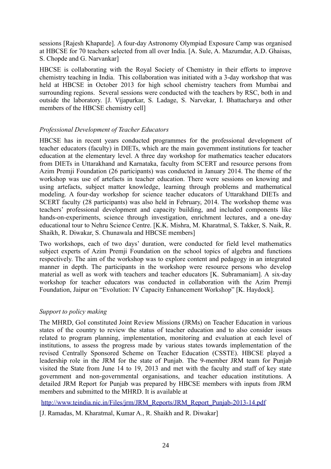sessions [Rajesh Khaparde]. A four-day Astronomy Olympiad Exposure Camp was organised at HBCSE for 70 teachers selected from all over India. [A. Sule, A. Mazumdar, A.D. Ghaisas, S. Chopde and G. Narvankar]

HBCSE is collaborating with the Royal Society of Chemistry in their efforts to improve chemistry teaching in India. This collaboration was initiated with a 3-day workshop that was held at HBCSE in October 2013 for high school chemistry teachers from Mumbai and surrounding regions. Several sessions were conducted with the teachers by RSC, both in and outside the laboratory. [J. Vijapurkar, S. Ladage, S. Narvekar, I. Bhattacharya and other members of the HBCSE chemistry cell]

## *Professional Development of Teacher Educators*

HBCSE has in recent years conducted programmes for the professional development of teacher educators (faculty) in DIETs, which are the main government institutions for teacher education at the elementary level. A three day workshop for mathematics teacher educators from DIETs in Uttarakhand and Karnataka, faculty from SCERT and resource persons from Azim Premji Foundation (26 participants) was conducted in January 2014. The theme of the workshop was use of artefacts in teacher education. There were sessions on knowing and using artefacts, subject matter knowledge, learning through problems and mathematical modeling. A four-day workshop for science teacher educators of Uttarakhand DIETs and SCERT faculty (28 participants) was also held in February, 2014. The workshop theme was teachers' professional development and capacity building, and included components like hands-on-experiments, science through investigation, enrichment lectures, and a one-day educational tour to Nehru Science Centre. [K.K. Mishra, M. Kharatmal, S. Takker, S. Naik, R. Shaikh, R. Diwakar, S. Chunawala and HBCSE members]

Two workshops, each of two days' duration, were conducted for field level mathematics subject experts of Azim Premji Foundation on the school topics of algebra and functions respectively. The aim of the workshop was to explore content and pedagogy in an integrated manner in depth. The participants in the workshop were resource persons who develop material as well as work with teachers and teacher educators [K. Subramaniam]. A six-day workshop for teacher educators was conducted in collaboration with the Azim Premji Foundation, Jaipur on "Evolution: IV Capacity Enhancement Workshop" [K. Haydock].

## *Support to policy making*

The MHRD, GoI constituted Joint Review Missions (JRMs) on Teacher Education in various states of the country to review the status of teacher education and to also consider issues related to program planning, implementation, monitoring and evaluation at each level of institutions, to assess the progress made by various states towards implementation of the revised Centrally Sponsored Scheme on Teacher Education (CSSTE). HBCSE played a leadership role in the JRM for the state of Punjab. The 9-member JRM team for Punjab visited the State from June 14 to 19, 2013 and met with the faculty and staff of key state government and non-governmental organisations, and teacher education institutions. A detailed JRM Report for Punjab was prepared by HBCSE members with inputs from JRM members and submitted to the MHRD. It is available at

[http://www.teindia.nic.in/Files/jrm/JRM\\_Reports/JRM\\_Report\\_Punjab-2013-14.pdf](http://www.teindia.nic.in/Files/jrm/JRM_Reports/JRM_Report_Punjab-2013-14.pdf)

[J. Ramadas, M. Kharatmal, Kumar A., R. Shaikh and R. Diwakar]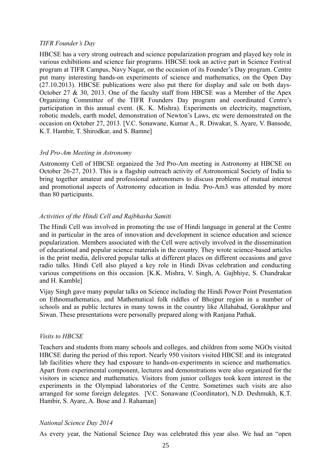#### *TIFR Founder's Day*

HBCSE has a very strong outreach and science popularization program and played key role in various exhibitions and science fair programs. HBCSE took an active part in Science Festival program at TIFR Campus, Navy Nagar, on the occasion of its Founder's Day program. Centre put many interesting hands-on experiments of science and mathematics, on the Open Day (27.10.2013). HBCSE publications were also put there for display and sale on both days-October 27 & 30, 2013. One of the faculty staff from HBCSE was a Member of the Apex Organizing Committee of the TIFR Founders Day program and coordinated Centre's participation in this annual event. (K. K. Mishra). Experiments on electricity, magnetism, robotic models, earth model, demonstration of Newton's Laws, etc were demonstrated on the occasion on October 27, 2013. [V.C. Sonawane, Kumar A., R. Diwakar, S. Ayare, V. Bansode, K.T. Hambir, T. Shirodkar, and S. Bamne]

#### *3rd Pro-Am Meeting in Astronomy*

Astronomy Cell of HBCSE organized the 3rd Pro-Am meeting in Astronomy at HBCSE on October 26-27, 2013. This is a flagship outreach activity of Astronomical Society of India to bring together amateur and professional astronomers to discuss problems of mutual interest and promotional aspects of Astronomy education in India. Pro-Am3 was attended by more than 80 participants.

#### *Activities of the Hindi Cell and Rajbhasha Samiti*

The Hindi Cell was involved in promoting the use of Hindi language in general at the Centre and in particular in the area of innovation and development in science education and science popularization. Members associated with the Cell were actively involved in the dissemination of educational and popular science materials in the country. They wrote science-based articles in the print media, delivered popular talks at different places on different occasions and gave radio talks. Hindi Cell also played a key role in Hindi Divas celebration and conducting various competitions on this occasion. [K.K. Mishra, V. Singh, A. Gajbhiye, S. Chandrakar and H. Kamble]

Vijay Singh gave many popular talks on Science including the Hindi Power Point Presentation on Ethnomathematics, and Mathematical folk riddles of Bhojpur region in a number of schools and as public lectures in many towns in the country like Allahabad, Gorakhpur and Siwan. These presentations were personally prepared along with Ranjana Pathak.

#### *Visits to HBCSE*

Teachers and students from many schools and colleges, and children from some NGOs visited HBCSE during the period of this report. Nearly 950 visitors visited HBCSE and its integrated lab facilities where they had exposure to hands-on-experiments in science and mathematics. Apart from experimental component, lectures and demonstrations were also organized for the visitors in science and mathematics. Visitors from junior colleges took keen interest in the experiments in the Olympiad laboratories of the Centre. Sometimes such visits are also arranged for some foreign delegates. [V.C. Sonawane (Coordinator), N.D. Deshmukh, K.T. Hambir, S. Ayare, A. Bose and J. Rahaman]

#### *National Science Day 2014*

As every year, the National Science Day was celebrated this year also. We had an "open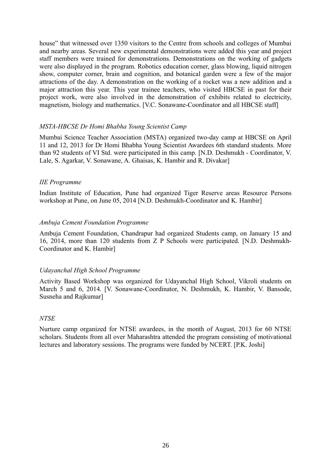house" that witnessed over 1350 visitors to the Centre from schools and colleges of Mumbai and nearby areas. Several new experimental demonstrations were added this year and project staff members were trained for demonstrations. Demonstrations on the working of gadgets were also displayed in the program. Robotics education corner, glass blowing, liquid nitrogen show, computer corner, brain and cognition, and botanical garden were a few of the major attractions of the day. A demonstration on the working of a rocket was a new addition and a major attraction this year. This year trainee teachers, who visited HBCSE in past for their project work, were also involved in the demonstration of exhibits related to electricity, magnetism, biology and mathematics. [V.C. Sonawane-Coordinator and all HBCSE staff]

#### *MSTA-HBCSE Dr Homi Bhabha Young Scientist Camp*

Mumbai Science Teacher Association (MSTA) organized two-day camp at HBCSE on April 11 and 12, 2013 for Dr Homi Bhabha Young Scientist Awardees 6th standard students. More than 92 students of VI Std. were participated in this camp. [N.D. Deshmukh - Coordinator, V. Lale, S. Agarkar, V. Sonawane, A. Ghaisas, K. Hambir and R. Divakar]

#### *IIE Programme*

Indian Institute of Education, Pune had organized Tiger Reserve areas Resource Persons workshop at Pune, on June 05, 2014 [N.D. Deshmukh-Coordinator and K. Hambir]

#### *Ambuja Cement Foundation Programme*

Ambuja Cement Foundation, Chandrapur had organized Students camp, on January 15 and 16, 2014, more than 120 students from Z P Schools were participated. [N.D. Deshmukh-Coordinator and K. Hambir]

## *Udayanchal High School Programme*

Activity Based Workshop was organized for Udayanchal High School, Vikroli students on March 5 and 6, 2014. [V. Sonawane-Coordinator, N. Deshmukh, K. Hambir, V. Bansode, Susneha and Rajkumar]

#### *NTSE*

Nurture camp organized for NTSE awardees, in the month of August, 2013 for 60 NTSE scholars. Students from all over Maharashtra attended the program consisting of motivational lectures and laboratory sessions. The programs were funded by NCERT. [P.K. Joshi]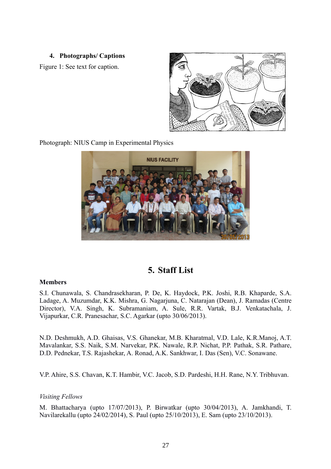#### **4. Photographs/ Captions**

Figure 1: See text for caption.



Photograph: NIUS Camp in Experimental Physics



# **5. Staff List**

#### **Members**

S.I. Chunawala, S. Chandrasekharan, P. De, K. Haydock, P.K. Joshi, R.B. Khaparde, S.A. Ladage, A. Muzumdar, K.K. Mishra, G. Nagarjuna, C. Natarajan (Dean), J. Ramadas (Centre Director), V.A. Singh, K. Subramaniam, A. Sule, R.R. Vartak, B.J. Venkatachala, J. Vijapurkar, C.R. Pranesachar, S.C. Agarkar (upto 30/06/2013).

N.D. Deshmukh, A.D. Ghaisas, V.S. Ghanekar, M.B. Kharatmal, V.D. Lale, K.R.Manoj, A.T. Mavalankar, S.S. Naik, S.M. Narvekar, P.K. Nawale, R.P. Nichat, P.P. Pathak, S.R. Pathare, D.D. Pednekar, T.S. Rajashekar, A. Ronad, A.K. Sankhwar, I. Das (Sen), V.C. Sonawane.

V.P. Ahire, S.S. Chavan, K.T. Hambir, V.C. Jacob, S.D. Pardeshi, H.H. Rane, N.Y. Tribhuvan.

#### *Visiting Fellows*

M. Bhattacharya (upto 17/07/2013), P. Birwatkar (upto 30/04/2013), A. Jamkhandi, T. Navilarekallu (upto 24/02/2014), S. Paul (upto 25/10/2013), E. Sam (upto 23/10/2013).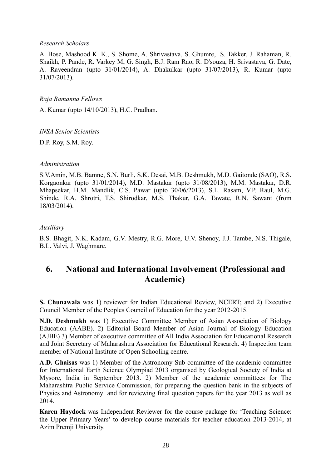#### *Research Scholars*

A. Bose, Mashood K. K., S. Shome, A. Shrivastava, S. Ghumre, S. Takker, J. Rahaman, R. Shaikh, P. Pande, R. Varkey M, G. Singh, B.J. Ram Rao, R. D'souza, H. Srivastava, G. Date, A. Raveendran (upto 31/01/2014), A. Dhakulkar (upto 31/07/2013), R. Kumar (upto 31/07/2013).

*Raja Ramanna Fellows*

A. Kumar (upto 14/10/2013), H.C. Pradhan.

*INSA Senior Scientists*

D.P. Roy, S.M. Roy.

#### *Administration*

S.V.Amin, M.B. Bamne, S.N. Burli, S.K. Desai, M.B. Deshmukh, M.D. Gaitonde (SAO), R.S. Korgaonkar (upto 31/01/2014), M.D. Mastakar (upto 31/08/2013), M.M. Mastakar, D.R. Mhapsekar, H.M. Mandlik, C.S. Pawar (upto 30/06/2013), S.L. Rasam, V.P. Raul, M.G. Shinde, R.A. Shrotri, T.S. Shirodkar, M.S. Thakur, G.A. Tawate, R.N. Sawant (from 18/03/2014).

#### *Auxiliary*

B.S. Bhagit, N.K. Kadam, G.V. Mestry, R.G. More, U.V. Shenoy, J.J. Tambe, N.S. Thigale, B.L. Valvi, J. Waghmare.

# **6. National and International Involvement (Professional and Academic)**

**S. Chunawala** was 1) reviewer for Indian Educational Review, NCERT; and 2) Executive Council Member of the Peoples Council of Education for the year 2012-2015.

**N.D. Deshmukh** was 1) Executive Committee Member of Asian Association of Biology Education (AABE). 2) Editorial Board Member of Asian Journal of Biology Education (AJBE) 3) Member of executive committee of All India Association for Educational Research and Joint Secretary of Maharashtra Association for Educational Research. 4) Inspection team member of National Institute of Open Schooling centre.

**A.D. Ghaisas** was 1) Member of the Astronomy Sub-committee of the academic committee for International Earth Science Olympiad 2013 organised by Geological Society of India at Mysore, India in September 2013. 2) Member of the academic committees for The Maharashtra Public Service Commission, for preparing the question bank in the subjects of Physics and Astronomy and for reviewing final question papers for the year 2013 as well as 2014.

**Karen Haydock** was Independent Reviewer for the course package for 'Teaching Science: the Upper Primary Years' to develop course materials for teacher education 2013-2014, at Azim Premji University.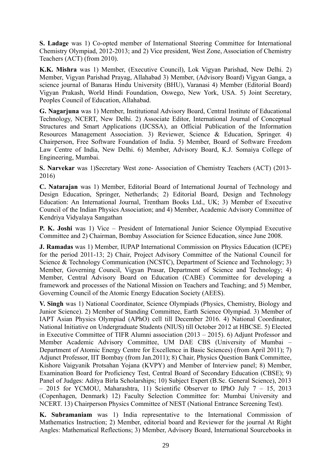**S. Ladage** was 1) Co-opted member of International Steering Committee for International Chemistry Olympiad, 2012-2013; and 2) Vice president, West Zone, Association of Chemistry Teachers (ACT) (from 2010).

**K.K. Mishra** was 1) Member, (Executive Council), Lok Vigyan Parishad, New Delhi. 2) Member, Vigyan Parishad Prayag, Allahabad 3) Member, (Advisory Board) Vigyan Ganga, a science journal of Banaras Hindu University (BHU), Varanasi 4) Member (Editorial Board) Vigyan Prakash, World Hindi Foundation, Oswego, New York, USA. 5) Joint Secretary, Peoples Council of Education, Allahabad.

**G. Nagarjuna** was 1) Member, Institutional Advisory Board, Central Institute of Educational Technology, NCERT, New Delhi. 2) Associate Editor, International Journal of Conceptual Structures and Smart Applications (IJCSSA), an Official Publication of the Information Resources Management Association. 3) Reviewer, Science & Education, Springer. 4) Chairperson, Free Software Foundation of India. 5) Member, Board of Software Freedom Law Centre of India, New Delhi. 6) Member, Advisory Board, K.J. Somaiya College of Engineering, Mumbai.

**S. Narvekar** was 1)Secretary West zone- Association of Chemistry Teachers (ACT) (2013- 2016)

**C. Natarajan** was 1) Member, Editorial Board of International Journal of Technology and Design Education, Springer, Netherlands; 2) Editorial Board, Design and Technology Education: An International Journal, Trentham Books Ltd., UK; 3) Member of Executive Council of the Indian Physics Association; and 4) Member, Academic Advisory Committee of Kendriya Vidyalaya Sangathan

**P. K. Joshi** was 1) Vice – President of International Junior Science Olympiad Executive Committee and 2) Chairman, Bombay Association for Science Education, since June 2008.

**J. Ramadas** was 1) Member, IUPAP International Commission on Physics Education (ICPE) for the period 2011-13; 2) Chair, Project Advisory Committee of the National Council for Science & Technology Communication (NCSTC), Department of Science and Technology; 3) Member, Governing Council, Vigyan Prasar, Department of Science and Technology; 4) Member, Central Advisory Board on Education (CABE) Committee for developing a framework and processes of the National Mission on Teachers and Teaching; and 5) Member, Governing Council of the Atomic Energy Education Society (AEES).

**V. Singh** was 1) National Coordinator, Science Olympiads (Physics, Chemistry, Biology and Junior Science). 2) Member of Standing Committee, Earth Science Olympiad. 3) Member of IAPT Asian Physics Olympiad (APhO) cell till December 2016. 4) National Coordinator, National Initiative on Undergraduate Students (NIUS) till October 2012 at HBCSE. 5) Elected in Executive Committee of TIFR Alumni association (2013 – 2015). 6) Adjunt Professor and Member Academic Advisory Committee, UM DAE CBS (University of Mumbai – Department of Atomic Energy Centre for Excellence in Basic Sciences) (from April 2011); 7) Adjunct Professor, IIT Bombay (from Jan.2011); 8) Chair, Physics Question Bank Committee, Kishore Vaigyanik Protsahan Yojana (KVPY) and Member of Interview panel; 8) Member, Examination Board for Proficiency Test, Central Board of Secondary Education (CBSE); 9) Panel of Judges: Aditya Birla Scholarships; 10) Subject Expert (B.Sc. General Science), 2013 – 2015 for YCMOU, Maharashtra, 11) Scientific Observer to IPhO July 7 – 15, 2013 (Copenhagen, Denmark) 12) Faculty Selection Committee for: Mumbai University and NCERT. 13) Chairperson Physics Committee of NEST (National Entrance Screening Test).

**K. Subramaniam** was 1) India representative to the International Commission of Mathematics Instruction; 2) Member, editorial board and Reviewer for the journal At Right Angles: Mathematical Reflections; 3) Member, Advisory Board, International Sourcebooks in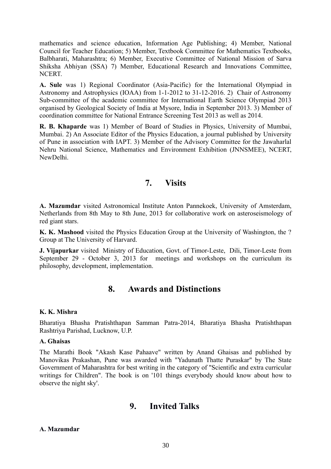mathematics and science education, Information Age Publishing; 4) Member, National Council for Teacher Education; 5) Member, Textbook Committee for Mathematics Textbooks, Balbharati, Maharashtra; 6) Member, Executive Committee of National Mission of Sarva Shiksha Abhiyan (SSA) 7) Member, Educational Research and Innovations Committee, NCERT.

**A. Sule** was 1) Regional Coordinator (Asia-Pacific) for the International Olympiad in Astronomy and Astrophysics (IOAA) from 1-1-2012 to 31-12-2016. 2) Chair of Astronomy Sub-committee of the academic committee for International Earth Science Olympiad 2013 organised by Geological Society of India at Mysore, India in September 2013. 3) Member of coordination committee for National Entrance Screening Test 2013 as well as 2014.

**R. B. Khaparde** was 1) Member of Board of Studies in Physics, University of Mumbai, Mumbai. 2) An Associate Editor of the Physics Education, a journal published by University of Pune in association with IAPT. 3) Member of the Advisory Committee for the Jawaharlal Nehru National Science, Mathematics and Environment Exhibition (JNNSMEE), NCERT, NewDelhi.

# **7. Visits**

**A. Mazumdar** visited Astronomical Institute Anton Pannekoek, University of Amsterdam, Netherlands from 8th May to 8th June, 2013 for collaborative work on asteroseismology of red giant stars.

**K. K. Mashood** visited the Physics Education Group at the University of Washington, the ? Group at The University of Harvard.

**J. Vijapurkar** visited Ministry of Education, Govt. of Timor-Leste, Dili, Timor-Leste from September 29 - October 3, 2013 for meetings and workshops on the curriculum its philosophy, development, implementation.

# **8. Awards and Distinctions**

## **K. K. Mishra**

Bharatiya Bhasha Pratishthapan Samman Patra-2014, Bharatiya Bhasha Pratishthapan Rashtriya Parishad, Lucknow, U.P.

## **A. Ghaisas**

The Marathi Book "Akash Kase Pahaave" written by Anand Ghaisas and published by Manovikas Prakashan, Pune was awarded with "Yadunath Thatte Puraskar" by The State Government of Maharashtra for best writing in the category of "Scientific and extra curricular writings for Children". The book is on '101 things everybody should know about how to observe the night sky'.

# **9. Invited Talks**

## **A. Mazumdar**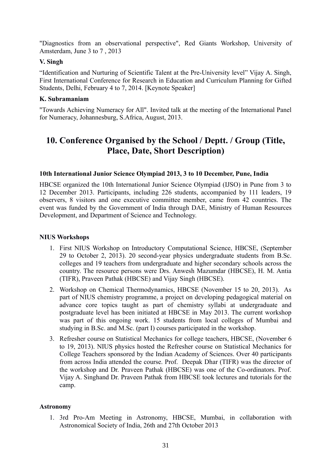"Diagnostics from an observational perspective", Red Giants Workshop, University of Amsterdam, June 3 to 7 , 2013

# **V. Singh**

"Identification and Nurturing of Scientific Talent at the Pre-University level" Vijay A. Singh, First International Conference for Research in Education and Curriculum Planning for Gifted Students, Delhi, February 4 to 7, 2014. [Keynote Speaker]

# **K. Subramaniam**

"Towards Achieving Numeracy for All". Invited talk at the meeting of the International Panel for Numeracy, Johannesburg, S.Africa, August, 2013.

# **10. Conference Organised by the School / Deptt. / Group (Title, Place, Date, Short Description)**

## **10th International Junior Science Olympiad 2013, 3 to 10 December, Pune, India**

HBCSE organized the 10th International Junior Science Olympiad (IJSO) in Pune from 3 to 12 December 2013. Participants, including 226 students, accompanied by 111 leaders, 19 observers, 8 visitors and one executive committee member, came from 42 countries. The event was funded by the Government of India through DAE, Ministry of Human Resources Development, and Department of Science and Technology.

## **NIUS Workshops**

- 1. First NIUS Workshop on Introductory Computational Science, HBCSE, (September 29 to October 2, 2013). 20 second-year physics undergraduate students from B.Sc. colleges and 19 teachers from undergraduate and higher secondary schools across the country. The resource persons were Drs. Anwesh Mazumdar (HBCSE), H. M. Antia (TIFR), Praveen Pathak (HBCSE) and Vijay Singh (HBCSE).
- 2. Workshop on Chemical Thermodynamics, HBCSE (November 15 to 20, 2013). As part of NIUS chemistry programme, a project on developing pedagogical material on advance core topics taught as part of chemistry syllabi at undergraduate and postgraduate level has been initiated at HBCSE in May 2013. The current workshop was part of this ongoing work. 15 students from local colleges of Mumbai and studying in B.Sc. and M.Sc. (part I) courses participated in the workshop.
- 3. Refresher course on Statistical Mechanics for college teachers, HBCSE, (November 6 to 19, 2013). NIUS physics hosted the Refresher course on Statistical Mechanics for College Teachers sponsored by the Indian Academy of Sciences. Over 40 participants from across India attended the course. Prof. Deepak Dhar (TIFR) was the director of the workshop and Dr. Praveen Pathak (HBCSE) was one of the Co-ordinators. Prof. Vijay A. Singhand Dr. Praveen Pathak from HBCSE took lectures and tutorials for the camp.

## **Astronomy**

1. 3rd Pro-Am Meeting in Astronomy, HBCSE, Mumbai, in collaboration with Astronomical Society of India, 26th and 27th October 2013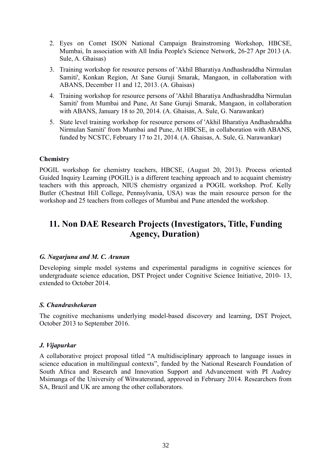- 2. Eyes on Comet ISON National Campaign Brainstroming Workshop, HBCSE, Mumbai, In association with All India People's Science Network, 26-27 Apr 2013 (A. Sule, A. Ghaisas)
- 3. Training workshop for resource persons of 'Akhil Bharatiya Andhashraddha Nirmulan Samiti', Konkan Region, At Sane Guruji Smarak, Mangaon, in collaboration with ABANS, December 11 and 12, 2013. (A. Ghaisas)
- 4. Training workshop for resource persons of 'Akhil Bharatiya Andhashraddha Nirmulan Samiti' from Mumbai and Pune, At Sane Guruji Smarak, Mangaon, in collaboration with ABANS, January 18 to 20, 2014. (A. Ghaisas, A. Sule, G. Narawankar)
- 5. State level training workshop for resource persons of 'Akhil Bharatiya Andhashraddha Nirmulan Samiti' from Mumbai and Pune, At HBCSE, in collaboration with ABANS, funded by NCSTC, February 17 to 21, 2014. (A. Ghaisas, A. Sule, G. Narawankar)

## **Chemistry**

POGIL workshop for chemistry teachers, HBCSE, (August 20, 2013). Process oriented Guided Inquiry Learning (POGIL) is a different teaching approach and to acquaint chemistry teachers with this approach, NIUS chemistry organized a POGIL workshop. Prof. Kelly Butler (Chestnut Hill College, Pennsylvania, USA) was the main resource person for the workshop and 25 teachers from colleges of Mumbai and Pune attended the workshop.

# **11. Non DAE Research Projects (Investigators, Title, Funding Agency, Duration)**

#### *G. Nagarjuna and M. C. Arunan*

Developing simple model systems and experimental paradigms in cognitive sciences for undergraduate science education, DST Project under Cognitive Science Initiative, 2010- 13, extended to October 2014.

#### *S. Chandrashekaran*

The cognitive mechanisms underlying model-based discovery and learning, DST Project, October 2013 to September 2016.

## *J. Vijapurkar*

A collaborative project proposal titled "A multidisciplinary approach to language issues in science education in multilingual contexts", funded by the National Research Foundation of South Africa and Research and Innovation Support and Advancement with PI Audrey Msimanga of the University of Witwatersrand, approved in February 2014. Researchers from SA, Brazil and UK are among the other collaborators.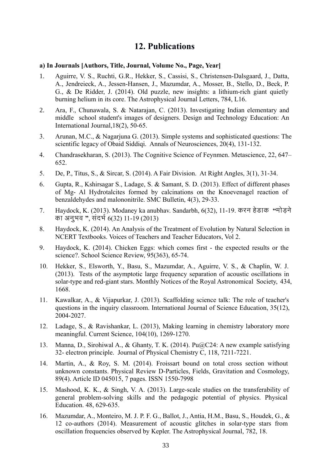# **12. Publications**

#### **a) In Journals [Authors, Title, Journal, Volume No., Page, Year]**

- 1. Aguirre, V. S., Ruchti, G.R., Hekker, S., Cassisi, S., Christensen-Dalsgaard, J., Datta, A., Jendreieck, A., Jessen-Hansen, J., Mazumdar, A., Mosser, B., Stello, D., Beck, P. G., & De Ridder, J. (2014). Old puzzle, new insights: a lithium-rich giant quietly burning helium in its core. The Astrophysical Journal Letters, 784, L16.
- 2. Ara, F., Chunawala, S. & Natarajan, C. (2013). Investigating Indian elementary and middle school student's images of designers. Design and Technology Education: An International Journal,18(2), 50-65.
- 3. Arunan, M.C., & Nagarjuna G. (2013). Simple systems and sophisticated questions: The scientific legacy of Obaid Siddiqi. Annals of Neurosciences, 20(4), 131-132.
- 4. Chandrasekharan, S. (2013). The Cognitive Science of Feynmen. Metascience, 22, 647– 652.
- 5. De, P., Titus, S., & Sircar, S. (2014). A Fair Division. At Right Angles, 3(1), 31-34.
- 6. Gupta, R., Kshirsagar S., Ladage, S. & Samant, S. D. (2013). Effect of different phases of Mg- Al Hydrotalcites formed by calcinations on the Knoevenagel reaction of benzaldehydes and malononitrile. SMC Bulletin, 4(3), 29-33.
- 7. Haydock, K. (2013). Modaney ka anubhav. Sandarbh, 6(32), 11-19. करन हेडाक **"**मोडने का अनुभव **"**, संदभर 6(32) 11-19 (2013)
- 8. Haydock, K. (2014). An Analysis of the Treatment of Evolution by Natural Selection in NCERT Textbooks. Voices of Teachers and Teacher Educators, Vol 2.
- 9. Haydock, K. (2014). Chicken Eggs: which comes first the expected results or the science?. School Science Review, 95(363), 65-74.
- 10. Hekker, S., Elsworth, Y., Basu, S., Mazumdar, A., Aguirre, V. S., & Chaplin, W. J. (2013). Tests of the asymptotic large frequency separation of acoustic oscillations in solar-type and red-giant stars. Monthly Notices of the Royal Astronomical Society, 434, 1668.
- 11. Kawalkar, A., & Vijapurkar, J. (2013). Scaffolding science talk: The role of teacher's questions in the inquiry classroom. International Journal of Science Education, 35(12), 2004-2027.
- 12. Ladage, S., & Ravishankar, L. (2013), Making learning in chemistry laboratory more meaningful. Current Science, 104(10), 1269-1270.
- 13. Manna, D., Sirohiwal A., & Ghanty, T. K. (2014). Pu@C24: A new example satisfying 32- electron principle. Journal of Physical Chemistry C, 118, 7211-7221.
- 14. Martin, A., & Roy, S. M. (2014). Froissart bound on total cross section without unknown constants. Physical Review D-Particles, Fields, Gravitation and Cosmology, 89(4). Article ID 045015, 7 pages. ISSN 1550-7998
- 15. Mashood, K. K., & Singh, V. A. (2013). Large-scale studies on the transferability of general problem-solving skills and the pedagogic potential of physics. Physical Education. 48, 629-635.
- 16. Mazumdar, A., Monteiro, M. J. P. F. G., Ballot, J., Antia, H.M., Basu, S., Houdek, G., & 12 co-authors (2014). Measurement of acoustic glitches in solar-type stars from oscillation frequencies observed by Kepler. The Astrophysical Journal, 782, 18.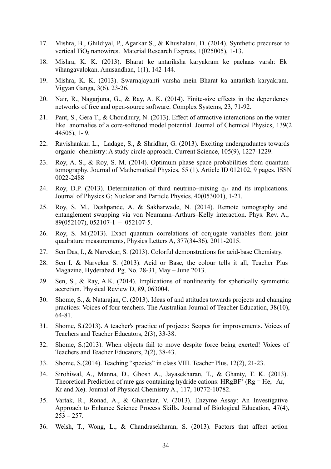- 17. Mishra, B., Ghildiyal, P., Agarkar S., & Khushalani, D. (2014). Synthetic precursor to vertical TiO<sub>2</sub> nanowires. Material Research Express,  $1(025005)$ , 1-13.
- 18. Mishra, K. K. (2013). Bharat ke antariksha karyakram ke pachaas varsh: Ek vihangavalokan. Anusandhan, 1(1), 142-144.
- 19. Mishra, K. K. (2013). Swarnajayanti varsha mein Bharat ka antariksh karyakram. Vigyan Ganga, 3(6), 23-26.
- 20. Nair, R., Nagarjuna, G., & Ray, A. K. (2014). Finite-size effects in the dependency networks of free and open-source software. Complex Systems, 23, 71-92.
- 21. Pant, S., Gera T., & Choudhury, N. (2013). Effect of attractive interactions on the water like anomalies of a core-softened model potential. Journal of Chemical Physics, 139(2 44505), 1- 9.
- 22. Ravishankar, L., Ladage, S., & Shridhar, G. (2013). Exciting undergraduates towards organic chemistry: A study circle approach. Current Science, 105(9), 1227-1229.
- 23. Roy, A. S., & Roy, S. M. (2014). Optimum phase space probabilities from quantum tomography. Journal of Mathematical Physics, 55 (1). Article ID 012102, 9 pages. ISSN 0022-2488
- 24. Roy, D.P. (2013). Determination of third neutrino–mixing q13 and its implications. Journal of Physics G; Nuclear and Particle Physics, 40(053001), 1-21.
- 25. Roy, S. M., Deshpande, A. & Sakharwade, N. (2014). Remote tomography and entanglement swapping via von Neumann–Arthurs–Kelly interaction. Phys. Rev. A., 89(052107), 052107-1 – 052107-5.
- 26. Roy, S. M.(2013). Exact quantum correlations of conjugate variables from joint quadrature measurements, Physics Letters A, 377(34-36), 2011-2015.
- 27. Sen Das, I., & Narvekar, S. (2013). Colorful demonstrations for acid-base Chemistry.
- 28. Sen I. & Narvekar S. (2013). Acid or Base, the colour tells it all, Teacher Plus Magazine, Hyderabad. Pg. No. 28-31, May – June 2013.
- 29. Sen, S., & Ray, A.K. (2014). Implications of nonlinearity for spherically symmetric accretion. Physical Review D, 89, 063004.
- 30. Shome, S., & Natarajan, C. (2013). Ideas of and attitudes towards projects and changing practices: Voices of four teachers. The Australian Journal of Teacher Education, 38(10), 64-81.
- 31. Shome, S.(2013). A teacher's practice of projects: Scopes for improvements. Voices of Teachers and Teacher Educators, 2(3), 33-38.
- 32. Shome, S.(2013). When objects fail to move despite force being exerted! Voices of Teachers and Teacher Educators, 2(2), 38-43.
- 33. Shome, S.(2014). Teaching "species" in class VIII. Teacher Plus, 12(2), 21-23.
- 34. Sirohiwal, A., Manna, D., Ghosh A., Jayasekharan, T., & Ghanty, T. K. (2013). Theoretical Prediction of rare gas containing hydride cations:  $HRgBF^{+} (Rg = He, Ar,$ Kr and Xe). Journal of Physical Chemistry A., 117, 10772-10782.
- 35. Vartak, R., Ronad, A., & Ghanekar, V. (2013). Enzyme Assay: An Investigative Approach to Enhance Science Process Skills. Journal of Biological Education, 47(4),  $253 - 257$ .
- 36. Welsh, T., Wong, L., & Chandrasekharan, S. (2013). Factors that affect action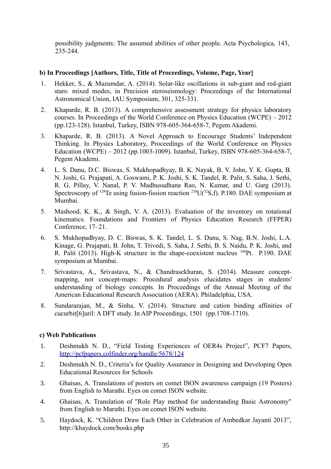possibility judgments: The assumed abilities of other people. Acta Psychologica, 143, 235-244.

# **b) In Proceedings [Authors, Title, Title of Proceedings, Volume, Page, Year]**

- 1. Hekker, S., & Mazumdar, A. (2014). Solar-like oscillations in sub-giant and red-giant stars: mixed modes, in Precision steroseismology: Proceedings of the International Astronomical Union, IAU Symposium, 301, 325-331.
- 2. Khaparde, R. B. (2013). A comprehensive assessment strategy for physics laboratory courses. In Proceedings of the World Conference on Physics Education (WCPE) – 2012 (pp.123-128). Istanbul, Turkey, ISBN 978-605-364-658-7, Pegem Akademi.
- 3. Khaparde, R. B. (2013). A Novel Approach to Encourage Students' Independent Thinking. In Physics Laboratory, Proceedings of the World Conference on Physics Education (WCPE) – 2012 (pp.1003-1009). Istanbul, Turkey, ISBN 978-605-364-658-7, Pegem Akademi.
- 4. L. S. Danu, D.C. Biswas, S. Mukhopadhyay, B. K. Nayak, B. V. John, Y. K. Gupta, B. N. Joshi, G. Prajapati, A. Goswami, P. K. Joshi, S. K. Tandel, R. Palit, S. Saha, J. Sethi, R. G. Pillay, V. Nanal, P. V. Madhusudhana Rao, N. Kumar, and U. Garg (2013). Spectroscopy of <sup>128</sup>Te using fusion-fission reaction  $^{238}U(^{32}S,f)$ . P.180. DAE symposium at Mumbai.
- 5. Mashood, K. K., & Singh, V. A. (2013). Evaluation of the inventory on rotational kinematics. Foundations and Frontiers of Physics Education Research (FFPER) Conference, 17–21.
- 6. S. Mukhopadhyay, D. C. Biswas, S. K. Tandel, L. S. Danu, S. Nag, B.N. Joshi, L.A. Kinage, G. Prajapati, B. John, T. Trivedi, S. Saha, J. Sethi, B. S. Naidu, P. K. Joshi, and R. Palit (2013). High-K structure in the shape-coexistent nucleus <sup>188</sup>Pt. P.190. DAE symposium at Mumbai.
- 7. Srivastava, A., Srivastava, N., & Chandrasekharan, S. (2014). Measure conceptmapping, not concept-maps: Procedural analysis elucidates stages in students' understanding of biology concepts. In Proceedings of the Annual Meeting of the American Educational Research Association (AERA). Philadelphia, USA.
- 8. Sundararajan, M., & Sinha, V. (2014). Structure and cation binding affinities of cucurbit[6]uril: A DFT study. In AIP Proceedings, 1501 (pp.1708-1710).

# **c) Web Publications**

- 1. Deshmukh N. D., "Field Testing Experiences of OER4s Project", PCF7 Papers, <http://pcfpapers.colfinder.org/handle/5678/124>
- 2. Deshmukh N. D., Criteria's for Quality Assurance in Designing and Developing Open Educational Resources for Schools
- 3. Ghaisas, A. Translations of posters on comet ISON awareness campaign (19 Posters) from English to Marathi. Eyes on comet ISON website.
- 4. Ghaisas, A. Translation of "Role Play method for understanding Basic Astronomy" from English to Marathi. Eyes on comet ISON website.
- 5. Haydock, K. "Children Draw Each Other in Celebration of Ambedkar Jayanti 2013", http://khaydock.com/books.php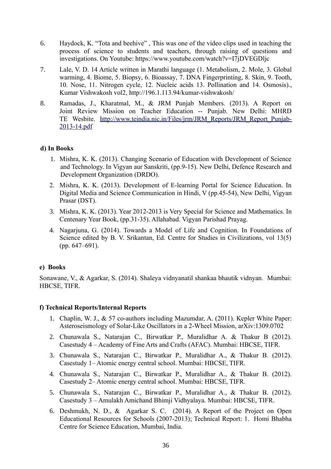- 6. Haydock, K. "Tota and beehive" , This was one of the video clips used in teaching the process of science to students and teachers, through raising of questions and investigations. On Youtube:<https://www.youtube.com/watch?v=I7jDVEGDljc>
- 7. Lale, V. D. 14 Article written in Marathi language (1. Metabolism, 2. Mole, 3. Global warming, 4. Biome, 5. Biopsy, 6. Bioassay, 7. DNA Fingerprinting, 8. Skin, 9. Tooth, 10. Nose, 11. Nitrogen cycle, 12. Nucleic acids 13. Pollination and 14. Osmosis)., Kumar Vishwakosh vol2,<http://196.1.113.94/kumar-vishwakosh/>
- 8. Ramadas, J., Kharatmal, M., & JRM Punjab Members. (2013). A Report on Joint Review Mission on Teacher Education -- Punjab. New Delhi: MHRD TE Wesbite. [http://www.teindia.nic.in/Files/jrm/JRM\\_Reports/JRM\\_Report\\_Punjab-](http://www.teindia.nic.in/Files/jrm/JRM_Reports/JRM_Report_Punjab-2013-14.pdf)[2013-14.pdf](http://www.teindia.nic.in/Files/jrm/JRM_Reports/JRM_Report_Punjab-2013-14.pdf)

## **d) In Books**

- 1. Mishra, K. K. (2013). Changing Scenario of Education with Development of Science and Technology. In Vigyan aur Sanskriti, (pp.9-15). New Delhi, Defence Research and Development Organization (DRDO).
- 2. Mishra, K. K. (2013). Development of E-learning Portal for Science Education. In Digital Media and Science Communication in Hindi, V (pp.45-54), New Delhi, Vigyan Prasar (DST).
- 3. Mishra, K. K. (2013). Year 2012-2013 is Very Special for Science and Mathematics. In Centenary Year Book, (pp.31-35). Allahabad. Vigyan Parishad Prayag.
- 4. Nagarjuna, G. (2014). Towards a Model of Life and Cognition. In Foundations of Science edited by B. V. Srikantan, Ed. Centre for Studies in Civilizations, vol 13(5) (pp. 647–691).

## **e) Books**

Sonawane, V., & Agarkar, S. (2014). Shaleya vidnyanatil shankaa bhautik vidnyan. Mumbai: HBCSE, TIFR.

## **f) Technical Reports/Internal Reports**

- 1. Chaplin, W. J., & 57 co-authors including Mazumdar, A. (2011). Kepler White Paper: Asteroseismology of Solar-Like Oscillators in a 2-Wheel Mission, arXiv:1309.0702
- 2. Chunawala S., Natarajan C., Birwatkar P., Muralidhar A. & Thakur B (2012). Casestudy 4 – Academy of Fine Arts and Crafts (AFAC). Mumbai: HBCSE, TIFR.
- 3. Chunawala S., Natarajan C., Birwatkar P., Muralidhar A., & Thakur B. (2012). Casestudy 1– Atomic energy central school. Mumbai: HBCSE, TIFR.
- 4. Chunawala S., Natarajan C., Birwatkar P., Muralidhar A., & Thakur B. (2012). Casestudy 2– Atomic energy central school. Mumbai: HBCSE, TIFR.
- 5. Chunawala S., Natarajan C., Birwatkar P., Muralidhar A., & Thakur B. (2012). Casestudy 3 – Amulakh Amichand Bhimji Vidhyalaya. Mumbai: HBCSE, TIFR.
- 6. Deshmukh, N. D., & Agarkar S. C. (2014). A Report of the Project on Open Educational Resources for Schools (2007-2013); Technical Report: 1. Homi Bhabha Centre for Science Education, Mumbai, India.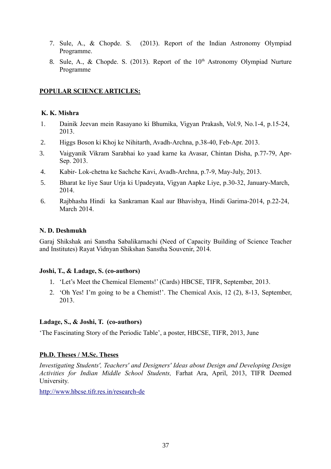- 7. Sule, A., & Chopde. S. (2013). Report of the Indian Astronomy Olympiad Programme.
- 8. Sule, A., & Chopde. S. (2013). Report of the  $10<sup>th</sup>$  Astronomy Olympiad Nurture Programme

## **POPULAR SCIENCE ARTICLES:**

#### **K. K. Mishra**

- 1. Dainik Jeevan mein Rasayano ki Bhumika, Vigyan Prakash, Vol.9, No.1-4, p.15-24, 2013.
- 2. Higgs Boson ki Khoj ke Nihitarth, Avadh-Archna, p.38-40, Feb-Apr. 2013.
- 3. Vaigyanik Vikram Sarabhai ko yaad karne ka Avasar, Chintan Disha, p.77-79, Apr-Sep. 2013.
- 4. Kabir- Lok-chetna ke Sachche Kavi, Avadh-Archna, p.7-9, May-July, 2013.
- 5. Bharat ke liye Saur Urja ki Upadeyata, Vigyan Aapke Liye, p.30-32, January-March, 2014.
- 6. Rajbhasha Hindi ka Sankraman Kaal aur Bhavishya, Hindi Garima-2014, p.22-24, March 2014

#### **N. D. Deshmukh**

Garaj Shikshak ani Sanstha Sabalikarnachi (Need of Capacity Building of Science Teacher and Institutes) Rayat Vidnyan Shikshan Sanstha Souvenir, 2014.

#### **Joshi, T., & Ladage, S. (co-authors)**

- 1. 'Let's Meet the Chemical Elements!' (Cards) HBCSE, TIFR, September, 2013.
- 2. 'Oh Yes! I'm going to be a Chemist!'. The Chemical Axis, 12 (2), 8-13, September, 2013.

#### **Ladage, S., & Joshi, T. (co-authors)**

'The Fascinating Story of the Periodic Table', a poster, HBCSE, TIFR, 2013, June

#### **Ph.D. Theses / M.Sc. Theses**

*Investigating Students', Teachers' and Designers' Ideas about Design and Developing Design Activities for Indian Middle School Students,* Farhat Ara, April, 2013, TIFR Deemed University.

<http://www.hbcse.tifr.res.in/research-de>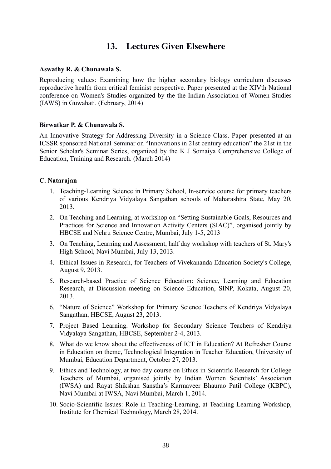# **13. Lectures Given Elsewhere**

#### **Aswathy R. & Chunawala S.**

Reproducing values: Examining how the higher secondary biology curriculum discusses reproductive health from critical feminist perspective. Paper presented at the XIVth National conference on Women's Studies organized by the the Indian Association of Women Studies (IAWS) in Guwahati. (February, 2014)

#### **Birwatkar P. & Chunawala S.**

An Innovative Strategy for Addressing Diversity in a Science Class. Paper presented at an ICSSR sponsored National Seminar on "Innovations in 21st century education" the 21st in the Senior Scholar's Seminar Series, organized by the K J Somaiya Comprehensive College of Education, Training and Research. (March 2014)

## **C. Natarajan**

- 1. Teaching-Learning Science in Primary School, In-service course for primary teachers of various Kendriya Vidyalaya Sangathan schools of Maharashtra State, May 20, 2013.
- 2. On Teaching and Learning, at workshop on "Setting Sustainable Goals, Resources and Practices for Science and Innovation Activity Centers (SIAC)", organised jointly by HBCSE and Nehru Science Centre, Mumbai, July 1-5, 2013
- 3. On Teaching, Learning and Assessment, half day workshop with teachers of St. Mary's High School, Navi Mumbai, July 13, 2013.
- 4. Ethical Issues in Research, for Teachers of Vivekananda Education Society's College, August 9, 2013.
- 5. Research-based Practice of Science Education: Science, Learning and Education Research, at Discussion meeting on Science Education, SINP, Kokata, August 20, 2013.
- 6. "Nature of Science" Workshop for Primary Science Teachers of Kendriya Vidyalaya Sangathan, HBCSE, August 23, 2013.
- 7. Project Based Learning. Workshop for Secondary Science Teachers of Kendriya Vidyalaya Sangathan, HBCSE, September 2-4, 2013.
- 8. What do we know about the effectiveness of ICT in Education? At Refresher Course in Education on theme, Technological Integration in Teacher Education, University of Mumbai, Education Department, October 27, 2013.
- 9. Ethics and Technology, at two day course on Ethics in Scientific Research for College Teachers of Mumbai, organised jointly by Indian Women Scientists' Association (IWSA) and Rayat Shikshan Sanstha's Karmaveer Bhaurao Patil College (KBPC), Navi Mumbai at IWSA, Navi Mumbai, March 1, 2014.
- 10. Socio-Scientific Issues: Role in Teaching-Learning, at Teaching Learning Workshop, Institute for Chemical Technology, March 28, 2014.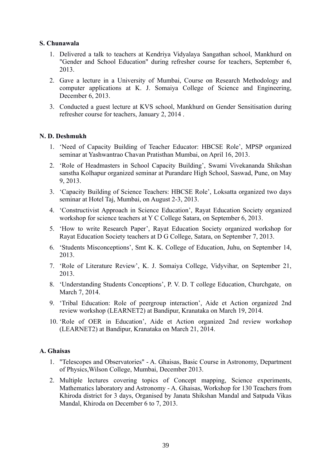#### **S. Chunawala**

- 1. Delivered a talk to teachers at Kendriya Vidyalaya Sangathan school, Mankhurd on "Gender and School Education" during refresher course for teachers, September 6, 2013.
- 2. Gave a lecture in a University of Mumbai, Course on Research Methodology and computer applications at K. J. Somaiya College of Science and Engineering, December 6, 2013.
- 3. Conducted a guest lecture at KVS school, Mankhurd on Gender Sensitisation during refresher course for teachers, January 2, 2014 .

#### **N. D. Deshmukh**

- 1. 'Need of Capacity Building of Teacher Educator: HBCSE Role', MPSP organized seminar at Yashwantrao Chavan Pratisthan Mumbai, on April 16, 2013.
- 2. 'Role of Headmasters in School Capacity Building', Swami Vivekananda Shikshan sanstha Kolhapur organized seminar at Purandare High School, Saswad, Pune, on May 9, 2013.
- 3. 'Capacity Building of Science Teachers: HBCSE Role', Loksatta organized two days seminar at Hotel Taj, Mumbai, on August 2-3, 2013.
- 4. 'Constructivist Approach in Science Education', Rayat Education Society organized workshop for science teachers at Y C College Satara, on September 6, 2013.
- 5. 'How to write Research Paper', Rayat Education Society organized workshop for Rayat Education Society teachers at D G College, Satara, on September 7, 2013.
- 6. 'Students Misconceptions', Smt K. K. College of Education, Juhu, on September 14, 2013.
- 7. 'Role of Literature Review', K. J. Somaiya College, Vidyvihar, on September 21, 2013.
- 8. 'Understanding Students Conceptions', P. V. D. T college Education, Churchgate, on March 7, 2014.
- 9. 'Tribal Education: Role of peergroup interaction', Aide et Action organized 2nd review workshop (LEARNET2) at Bandipur, Kranataka on March 19, 2014.
- 10. 'Role of OER in Education', Aide et Action organized 2nd review workshop (LEARNET2) at Bandipur, Kranataka on March 21, 2014.

## **A. Ghaisas**

- 1. "Telescopes and Observatories" A. Ghaisas, Basic Course in Astronomy, Department of Physics,Wilson College, Mumbai, December 2013.
- 2. Multiple lectures covering topics of Concept mapping, Science experiments, Mathematics laboratory and Astronomy - A. Ghaisas, Workshop for 130 Teachers from Khiroda district for 3 days, Organised by Janata Shikshan Mandal and Satpuda Vikas Mandal, Khiroda on December 6 to 7, 2013.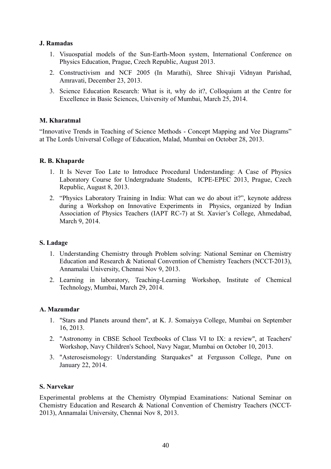## **J. Ramadas**

- 1. Visuospatial models of the Sun-Earth-Moon system, International Conference on Physics Education, Prague, Czech Republic, August 2013.
- 2. Constructivism and NCF 2005 (In Marathi), Shree Shivaji Vidnyan Parishad, Amravati, December 23, 2013.
- 3. Science Education Research: What is it, why do it?, Colloquium at the Centre for Excellence in Basic Sciences, University of Mumbai, March 25, 2014.

## **M. Kharatmal**

"Innovative Trends in Teaching of Science Methods - Concept Mapping and Vee Diagrams" at The Lords Universal College of Education, Malad, Mumbai on October 28, 2013.

#### **R. B. Khaparde**

- 1. It Is Never Too Late to Introduce Procedural Understanding: A Case of Physics Laboratory Course for Undergraduate Students, ICPE-EPEC 2013, Prague, Czech Republic, August 8, 2013.
- 2. "Physics Laboratory Training in India: What can we do about it?", keynote address during a Workshop on Innovative Experiments in Physics, organized by Indian Association of Physics Teachers (IAPT RC-7) at St. Xavier's College, Ahmedabad, March 9, 2014.

#### **S. Ladage**

- 1. Understanding Chemistry through Problem solving: National Seminar on Chemistry Education and Research & National Convention of Chemistry Teachers (NCCT-2013), Annamalai University, Chennai Nov 9, 2013.
- 2. Learning in laboratory, Teaching-Learning Workshop, Institute of Chemical Technology, Mumbai, March 29, 2014.

#### **A. Mazumdar**

- 1. "Stars and Planets around them", at K. J. Somaiyya College, Mumbai on September 16, 2013.
- 2. "Astronomy in CBSE School Textbooks of Class VI to IX: a review", at Teachers' Workshop, Navy Children's School, Navy Nagar, Mumbai on October 10, 2013.
- 3. "Asteroseismology: Understanding Starquakes" at Fergusson College, Pune on January 22, 2014.

#### **S. Narvekar**

Experimental problems at the Chemistry Olympiad Examinations: National Seminar on Chemistry Education and Research & National Convention of Chemistry Teachers (NCCT-2013), Annamalai University, Chennai Nov 8, 2013.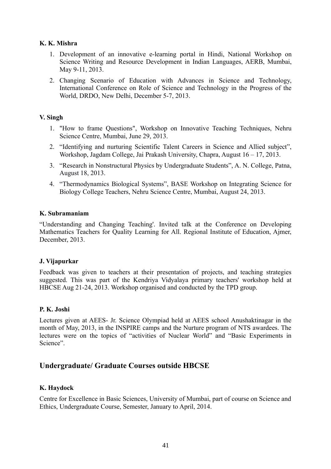# **K. K. Mishra**

- 1. Development of an innovative e-learning portal in Hindi, National Workshop on Science Writing and Resource Development in Indian Languages, AERB, Mumbai, May 9-11, 2013.
- 2. Changing Scenario of Education with Advances in Science and Technology, International Conference on Role of Science and Technology in the Progress of the World, DRDO, New Delhi, December 5-7, 2013.

## **V. Singh**

- 1. "How to frame Questions", Workshop on Innovative Teaching Techniques, Nehru Science Centre, Mumbai, June 29, 2013.
- 2. "Identifying and nurturing Scientific Talent Careers in Science and Allied subject", Workshop, Jagdam College, Jai Prakash University, Chapra, August 16 – 17, 2013.
- 3. "Research in Nonstructural Physics by Undergraduate Students", A. N. College, Patna, August 18, 2013.
- 4. "Thermodynamics Biological Systems", BASE Workshop on Integrating Science for Biology College Teachers, Nehru Science Centre, Mumbai, August 24, 2013.

# **K. Subramaniam**

"Understanding and Changing Teaching'. Invited talk at the Conference on Developing Mathematics Teachers for Quality Learning for All. Regional Institute of Education, Ajmer, December, 2013.

## **J. Vijapurkar**

Feedback was given to teachers at their presentation of projects, and teaching strategies suggested. This was part of the Kendriya Vidyalaya primary teachers' workshop held at HBCSE Aug 21-24, 2013. Workshop organised and conducted by the TPD group.

## **P. K. Joshi**

Lectures given at AEES- Jr. Science Olympiad held at AEES school Anushaktinagar in the month of May, 2013, in the INSPIRE camps and the Nurture program of NTS awardees. The lectures were on the topics of "activities of Nuclear World" and "Basic Experiments in Science".

# **Undergraduate/ Graduate Courses outside HBCSE**

# **K. Haydock**

Centre for Excellence in Basic Sciences, University of Mumbai, part of course on Science and Ethics, Undergraduate Course, Semester, January to April, 2014.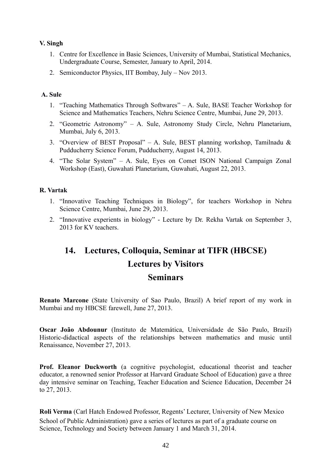# **V. Singh**

- 1. Centre for Excellence in Basic Sciences, University of Mumbai, Statistical Mechanics, Undergraduate Course, Semester, January to April, 2014.
- 2. Semiconductor Physics, IIT Bombay, July Nov 2013.

# **A. Sule**

- 1. "Teaching Mathematics Through Softwares" A. Sule, BASE Teacher Workshop for Science and Mathematics Teachers, Nehru Science Centre, Mumbai, June 29, 2013.
- 2. "Geometric Astronomy" A. Sule, Astronomy Study Circle, Nehru Planetarium, Mumbai, July 6, 2013.
- 3. "Overview of BEST Proposal" A. Sule, BEST planning workshop, Tamilnadu  $\&$ Pudducherry Science Forum, Pudducherry, August 14, 2013.
- 4. "The Solar System" A. Sule, Eyes on Comet ISON National Campaign Zonal Workshop (East), Guwahati Planetarium, Guwahati, August 22, 2013.

## **R. Vartak**

- 1. "Innovative Teaching Techniques in Biology", for teachers Workshop in Nehru Science Centre, Mumbai, June 29, 2013.
- 2. "Innovative experients in biology" Lecture by Dr. Rekha Vartak on September 3, 2013 for KV teachers.

# **14. Lectures, Colloquia, Seminar at TIFR (HBCSE) Lectures by Visitors Seminars**

**Renato Marcone** (State University of Sao Paulo, Brazil) A brief report of my work in Mumbai and my HBCSE farewell, June 27, 2013.

**Oscar João Abdounur** (Instituto de Matemática, Universidade de São Paulo, Brazil) Historic-didactical aspects of the relationships between mathematics and music until Renaissance, November 27, 2013.

**Prof. Eleanor Duckworth** (a cognitive psychologist, educational theorist and teacher educator, a renowned senior Professor at Harvard Graduate School of Education) gave a three day intensive seminar on Teaching, Teacher Education and Science Education, December 24 to 27, 2013.

**Roli Verma** (Carl Hatch Endowed Professor, Regents' Lecturer, [University of New Mexico](http://www.unm.edu/) School of Public Administration) gave a series of lectures as part of a graduate course on Science, Technology and Society between January 1 and March 31, 2014.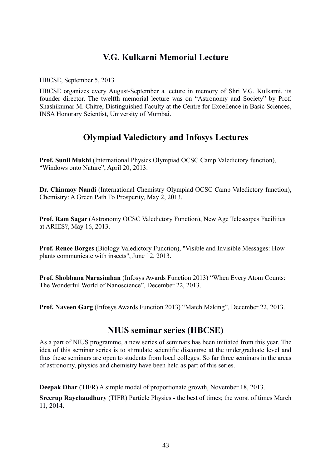# **V.G. Kulkarni Memorial Lecture**

HBCSE, September 5, 2013

HBCSE organizes every August-September a lecture in memory of Shri V.G. Kulkarni, its founder director. The twelfth memorial lecture was on "Astronomy and Society" by Prof. Shashikumar M. Chitre, Distinguished Faculty at the Centre for Excellence in Basic Sciences, INSA Honorary Scientist, University of Mumbai.

# **Olympiad Valedictory and Infosys Lectures**

**Prof. Sunil Mukhi** (International Physics Olympiad OCSC Camp Valedictory function), "Windows onto Nature", April 20, 2013.

**Dr. Chinmoy Nandi** (International Chemistry Olympiad OCSC Camp Valedictory function), Chemistry: A Green Path To Prosperity, May 2, 2013.

**Prof. Ram Sagar** (Astronomy OCSC Valedictory Function), New Age Telescopes Facilities at ARIES?, May 16, 2013.

**Prof. Renee Borges** (Biology Valedictory Function), "Visible and Invisible Messages: How plants communicate with insects", June 12, 2013.

**Prof. Shobhana Narasimhan** (Infosys Awards Function 2013) "When Every Atom Counts: The Wonderful World of Nanoscience", December 22, 2013.

**Prof. Naveen Garg** (Infosys Awards Function 2013) "Match Making", December 22, 2013.

# **NIUS seminar series (HBCSE)**

As a part of NIUS programme, a new series of seminars has been initiated from this year. The idea of this seminar series is to stimulate scientific discourse at the undergraduate level and thus these seminars are open to students from local colleges. So far three seminars in the areas of astronomy, physics and chemistry have been held as part of this series.

**Deepak Dhar** (TIFR) A simple model of proportionate growth, November 18, 2013.

**Sreerup Raychaudhury** (TIFR) Particle Physics - the best of times; the worst of times March 11, 2014.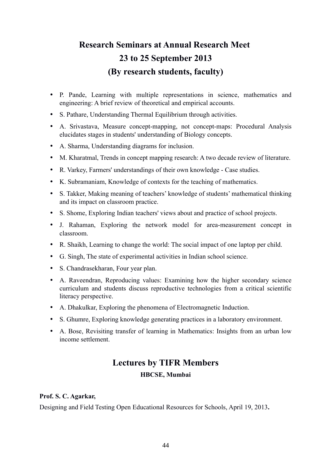# **Research Seminars at Annual Research Meet 23 to 25 September 2013 (By research students, faculty)**

- P. Pande, Learning with multiple representations in science, mathematics and engineering: A brief review of theoretical and empirical accounts.
- S. Pathare, Understanding Thermal Equilibrium through activities.
- A. Srivastava, Measure concept-mapping, not concept-maps: Procedural Analysis elucidates stages in students' understanding of Biology concepts.
- A. Sharma, Understanding diagrams for inclusion.
- M. Kharatmal, Trends in concept mapping research: A two decade review of literature.
- R. Varkey, Farmers' understandings of their own knowledge Case studies.
- K. Subramaniam, Knowledge of contexts for the teaching of mathematics.
- S. Takker, Making meaning of teachers' knowledge of students' mathematical thinking and its impact on classroom practice.
- S. Shome, Exploring Indian teachers' views about and practice of school projects.
- J. Rahaman, Exploring the network model for area-measurement concept in classroom.
- R. Shaikh, Learning to change the world: The social impact of one laptop per child.
- G. Singh, The state of experimental activities in Indian school science.
- S. Chandrasekharan, Four year plan.
- A. Raveendran, Reproducing values: Examining how the higher secondary science curriculum and students discuss reproductive technologies from a critical scientific literacy perspective.
- A. Dhakulkar, Exploring the phenomena of Electromagnetic Induction.
- S. Ghumre, Exploring knowledge generating practices in a laboratory environment.
- A. Bose, Revisiting transfer of learning in Mathematics: Insights from an urban low income settlement.

# **Lectures by TIFR Members HBCSE, Mumbai**

## **Prof. S. C. Agarkar,**

Designing and Field Testing Open Educational Resources for Schools, April 19, 2013**.**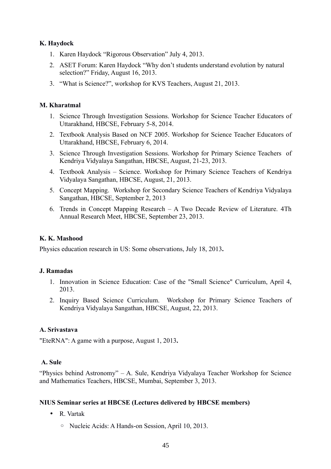# **K. Haydock**

- 1. Karen Haydock "Rigorous Observation" July 4, 2013.
- 2. ASET Forum: Karen Haydock "Why don't students understand evolution by natural selection?" Friday, August 16, 2013.
- 3. "What is Science?", workshop for KVS Teachers, August 21, 2013.

## **M. Kharatmal**

- 1. Science Through Investigation Sessions. Workshop for Science Teacher Educators of Uttarakhand, HBCSE, February 5-8, 2014.
- 2. Textbook Analysis Based on NCF 2005. Workshop for Science Teacher Educators of Uttarakhand, HBCSE, February 6, 2014.
- 3. Science Through Investigation Sessions. Workshop for Primary Science Teachers of Kendriya Vidyalaya Sangathan, HBCSE, August, 21-23, 2013.
- 4. Textbook Analysis Science. Workshop for Primary Science Teachers of Kendriya Vidyalaya Sangathan, HBCSE, August, 21, 2013.
- 5. Concept Mapping. Workshop for Secondary Science Teachers of Kendriya Vidyalaya Sangathan, HBCSE, September 2, 2013
- 6. Trends in Concept Mapping Research A Two Decade Review of Literature. 4Th Annual Research Meet, HBCSE, September 23, 2013.

# **K. K. Mashood**

Physics education research in US: Some observations, July 18, 2013**.**

## **J. Ramadas**

- 1. Innovation in Science Education: Case of the "Small Science" Curriculum, April 4, 2013.
- 2. Inquiry Based Science Curriculum. Workshop for Primary Science Teachers of Kendriya Vidyalaya Sangathan, HBCSE, August, 22, 2013.

## **A. Srivastava**

"EteRNA": A game with a purpose, August 1, 2013**.**

## **A. Sule**

"Physics behind Astronomy" – A. Sule, Kendriya Vidyalaya Teacher Workshop for Science and Mathematics Teachers, HBCSE, Mumbai, September 3, 2013.

## **NIUS Seminar series at HBCSE (Lectures delivered by HBCSE members)**

- R. Vartak
	- Nucleic Acids: A Hands-on Session, April 10, 2013.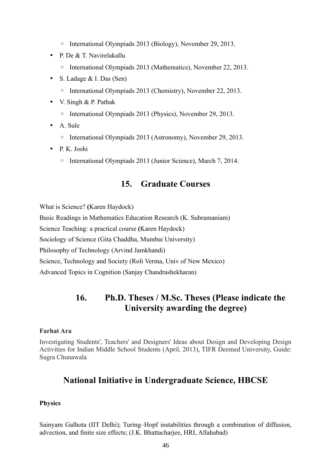- International Olympiads 2013 (Biology), November 29, 2013.
- P. De & T. Navirelakallu
	- International Olympiads 2013 (Mathematics), November 22, 2013.
- S. Ladage & I. Das (Sen)
	- International Olympiads 2013 (Chemistry), November 22, 2013.
- V. Singh & P. Pathak
	- International Olympiads 2013 (Physics), November 29, 2013.
- A. Sule
	- International Olympiads 2013 (Astronomy), November 29, 2013.
- P. K. Joshi
	- International Olympiads 2013 (Junior Science), March 7, 2014.

# **15. Graduate Courses**

What is Science? **(**Karen Haydock)

Basic Readings in Mathematics Education Research (K. Subramaniam)

Science Teaching: a practical course **(**Karen Haydock)

Sociology of Science (Gita Chaddha, Mumbai University)

Philosophy of Technology (Arvind Jamkhandi)

Science, Technology and Society (Roli Verma, Univ of New Mexico)

Advanced Topics in Cognition (Sanjay Chandrashekharan)

# **16. Ph.D. Theses / M.Sc. Theses (Please indicate the University awarding the degree)**

## **Farhat Ara**

Investigating Students', Teachers' and Designers' Ideas about Design and Developing Design Activities for Indian Middle School Students (April, 2013), TIFR Deemed University, Guide: Sugra Chunawala

# **National Initiative in Undergraduate Science, HBCSE**

## **Physics**

Sainyam Galhota (IIT Delhi); Turing–Hopf instabilities through a combination of diffusion, advection, and finite size effects; (J.K. Bhattacharjee, HRI, Allahabad)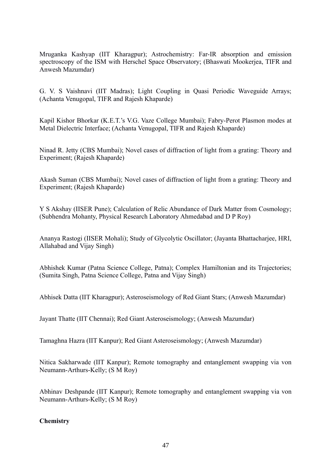Mruganka Kashyap (IIT Kharagpur); Astrochemistry: Far-IR absorption and emission spectroscopy of the ISM with Herschel Space Observatory; (Bhaswati Mookerjea, TIFR and Anwesh Mazumdar)

G. V. S Vaishnavi (IIT Madras); Light Coupling in Quasi Periodic Waveguide Arrays; (Achanta Venugopal, TIFR and Rajesh Khaparde)

Kapil Kishor Bhorkar (K.E.T.'s V.G. Vaze College Mumbai); Fabry-Perot Plasmon modes at Metal Dielectric Interface; (Achanta Venugopal, TIFR and Rajesh Khaparde)

Ninad R. Jetty (CBS Mumbai); Novel cases of diffraction of light from a grating: Theory and Experiment; (Rajesh Khaparde)

Akash Suman (CBS Mumbai); Novel cases of diffraction of light from a grating: Theory and Experiment; (Rajesh Khaparde)

Y S Akshay (IISER Pune); Calculation of Relic Abundance of Dark Matter from Cosmology; (Subhendra Mohanty, Physical Research Laboratory Ahmedabad and D P Roy)

Ananya Rastogi (IISER Mohali); Study of Glycolytic Oscillator; (Jayanta Bhattacharjee, HRI, Allahabad and Vijay Singh)

Abhishek Kumar (Patna Science College, Patna); Complex Hamiltonian and its Trajectories; (Sumita Singh, Patna Science College, Patna and Vijay Singh)

Abhisek Datta (IIT Kharagpur); Asteroseismology of Red Giant Stars; (Anwesh Mazumdar)

Jayant Thatte (IIT Chennai); Red Giant Asteroseismology; (Anwesh Mazumdar)

Tamaghna Hazra (IIT Kanpur); Red Giant Asteroseismology; (Anwesh Mazumdar)

Nitica Sakharwade (IIT Kanpur); Remote tomography and entanglement swapping via von Neumann-Arthurs-Kelly; (S M Roy)

Abhinav Deshpande (IIT Kanpur); Remote tomography and entanglement swapping via von Neumann-Arthurs-Kelly; (S M Roy)

## **Chemistry**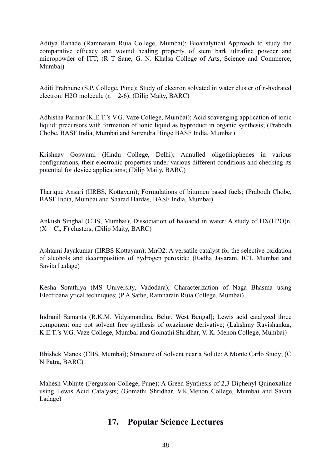Aditya Ranade (Ramnarain Ruia College, Mumbai); Bioanalytical Approach to study the comparative efficacy and wound healing property of stem bark ultrafine powder and micropowder of ITT; (R T Sane, G. N. Khalsa College of Arts, Science and Commerce, Mumbai)

Aditi Prabhune (S.P. College, Pune); Study of electron solvated in water cluster of n-hydrated electron: H2O molecule ( $n = 2-6$ ); (Dilip Maity, BARC)

Adhistha Parmar (K.E.T.'s V.G. Vaze College, Mumbai); Acid scavenging application of ionic liquid: precursors with formation of ionic liquid as byproduct in organic synthesis; (Prabodh Chobe, BASF India, Mumbai and Surendra Hinge BASF India, Mumbai)

Krishnav Goswami (Hindu College, Delhi); Annulled oligothiophenes in various configurations, their electronic properties under various different conditions and checking its potential for device applications; (Dilip Maity, BARC)

Tharique Ansari (IIRBS, Kottayam); Formulations of bitumen based fuels; (Prabodh Chobe, BASF India, Mumbai and Sharad Hardas, BASF India, Mumbai)

Ankush Singhal (CBS, Mumbai); Dissociation of haloacid in water: A study of HX(H2O)n,  $(X = Cl, F)$  clusters; (Dilip Maity, BARC)

Ashtami Jayakumar (IIRBS Kottayam); MnO2: A versatile catalyst for the selective oxidation of alcohols and decomposition of hydrogen peroxide; (Radha Jayaram, ICT, Mumbai and Savita Ladage)

Kesha Sorathiya (MS University, Vadodara); Characterization of Naga Bhasma using Electroanalytical techniques; (P A Sathe, Ramnarain Ruia College, Mumbai)

Indranil Samanta (R.K.M. Vidyamandira, Belur, West Bengal]; Lewis acid catalyzed three component one pot solvent free synthesis of oxazinone derivative; (Lakshmy Ravishankar, K.E.T.'s V.G. Vaze College, Mumbai and Gomathi Shridhar, V. K. Menon College, Mumbai)

Bhishek Manek (CBS, Mumbai); Structure of Solvent near a Solute: A Monte Carlo Study; (C N Patra, BARC)

Mahesh Vibhute (Fergusson College, Pune); A Green Synthesis of 2,3-Diphenyl Quinoxaline using Lewis Acid Catalysts; (Gomathi Shridhar, V.K.Menon College, Mumbai and Savita Ladage)

# **17. Popular Science Lectures**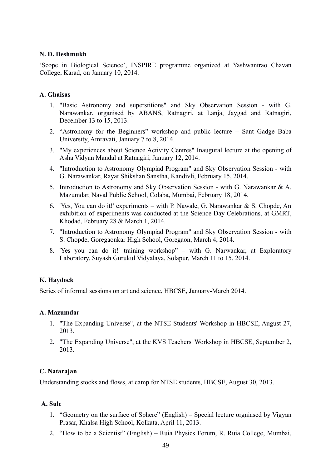#### **N. D. Deshmukh**

'Scope in Biological Science', INSPIRE programme organized at Yashwantrao Chavan College, Karad, on January 10, 2014.

#### **A. Ghaisas**

- 1. "Basic Astronomy and superstitions" and Sky Observation Session with G. Narawankar, organised by ABANS, Ratnagiri, at Lanja, Jaygad and Ratnagiri, December 13 to 15, 2013.
- 2. "Astronomy for the Beginners" workshop and public lecture Sant Gadge Baba University, Amravati, January 7 to 8, 2014.
- 3. "My experiences about Science Activity Centres" Inaugural lecture at the opening of Asha Vidyan Mandal at Ratnagiri, January 12, 2014.
- 4. "Introduction to Astronomy Olympiad Program" and Sky Observation Session with G. Narawankar, Rayat Shikshan Sanstha, Kandivli, February 15, 2014.
- 5. Introduction to Astronomy and Sky Observation Session with G. Narawankar & A. Mazumdar, Naval Public School, Colaba, Mumbai, February 18, 2014.
- 6. 'Yes, You can do it!' experiments with P. Nawale, G. Narawankar & S. Chopde, An exhibition of experiments was conducted at the Science Day Celebrations, at GMRT, Khodad, February 28 & March 1, 2014.
- 7. "Introduction to Astronomy Olympiad Program" and Sky Observation Session with S. Chopde, Goregaonkar High School, Goregaon, March 4, 2014.
- 8. 'Yes you can do it!' training workshop" with G. Narwankar, at Exploratory Laboratory, Suyash Gurukul Vidyalaya, Solapur, March 11 to 15, 2014.

## **K. Haydock**

Series of informal sessions on art and science, HBCSE, January-March 2014.

## **A. Mazumdar**

- 1. "The Expanding Universe", at the NTSE Students' Workshop in HBCSE, August 27, 2013.
- 2. "The Expanding Universe", at the KVS Teachers' Workshop in HBCSE, September 2, 2013.

## **C. Natarajan**

Understanding stocks and flows, at camp for NTSE students, HBCSE, August 30, 2013.

#### **A. Sule**

- 1. "Geometry on the surface of Sphere" (English) Special lecture orgniased by Vigyan Prasar, Khalsa High School, Kolkata, April 11, 2013.
- 2. "How to be a Scientist" (English) Ruia Physics Forum, R. Ruia College, Mumbai,